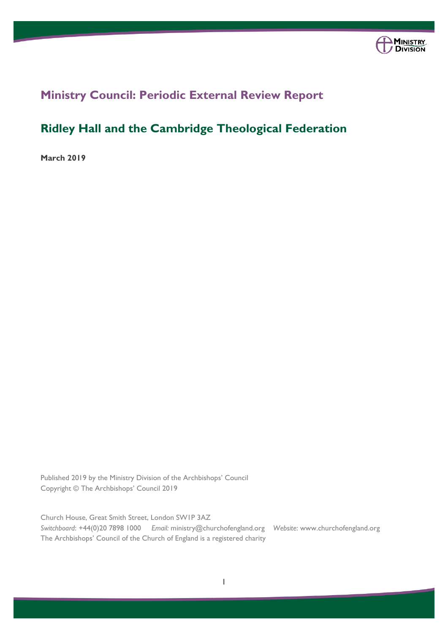

# **Ministry Council: Periodic External Review Report**

# **Ridley Hall and the Cambridge Theological Federation**

**March 2019**

Published 2019 by the Ministry Division of the Archbishops' Council Copyright © The Archbishops' Council 2019

Church House, Great Smith Street, London SW1P 3AZ *Switchboard*: +44(0)20 7898 1000 *Email:* ministry@churchofengland.org *Website*: www.churchofengland.org The Archbishops' Council of the Church of England is a registered charity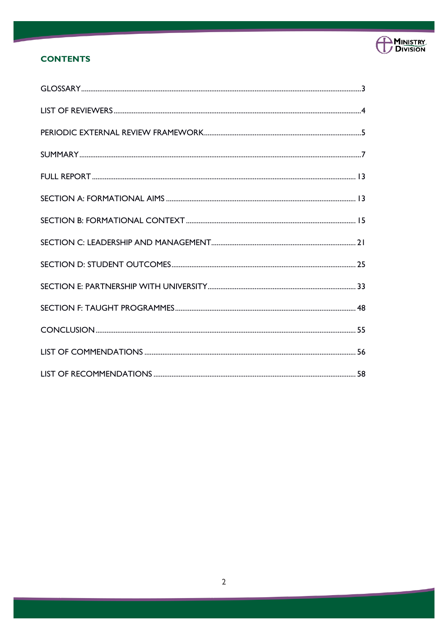

# **CONTENTS**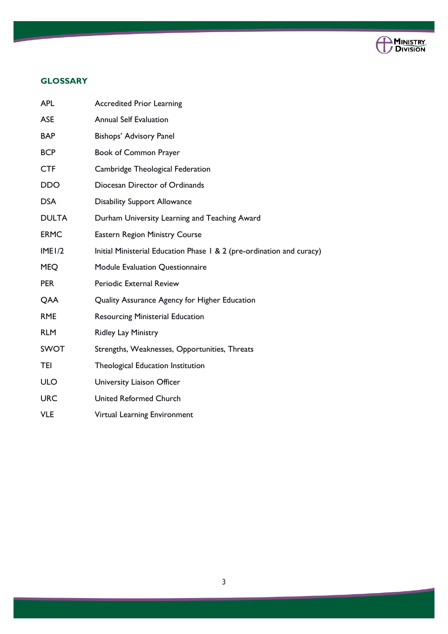

# **GLOSSARY**

| <b>APL</b>   | <b>Accredited Prior Learning</b>                                      |
|--------------|-----------------------------------------------------------------------|
| <b>ASE</b>   | <b>Annual Self Evaluation</b>                                         |
| <b>BAP</b>   | Bishops' Advisory Panel                                               |
| <b>BCP</b>   | <b>Book of Common Prayer</b>                                          |
| <b>CTF</b>   | Cambridge Theological Federation                                      |
| <b>DDO</b>   | Diocesan Director of Ordinands                                        |
| <b>DSA</b>   | <b>Disability Support Allowance</b>                                   |
| <b>DULTA</b> | Durham University Learning and Teaching Award                         |
| <b>ERMC</b>  | <b>Eastern Region Ministry Course</b>                                 |
| IME1/2       | Initial Ministerial Education Phase 1 & 2 (pre-ordination and curacy) |
| <b>MEQ</b>   | Module Evaluation Questionnaire                                       |
| <b>PER</b>   | Periodic External Review                                              |
| QAA          | Quality Assurance Agency for Higher Education                         |
| <b>RME</b>   | <b>Resourcing Ministerial Education</b>                               |
| <b>RLM</b>   | Ridley Lay Ministry                                                   |
| <b>SWOT</b>  | Strengths, Weaknesses, Opportunities, Threats                         |
| <b>TEI</b>   | Theological Education Institution                                     |
| <b>ULO</b>   | University Liaison Officer                                            |
| <b>URC</b>   | <b>United Reformed Church</b>                                         |
| <b>VLE</b>   | Virtual Learning Environment                                          |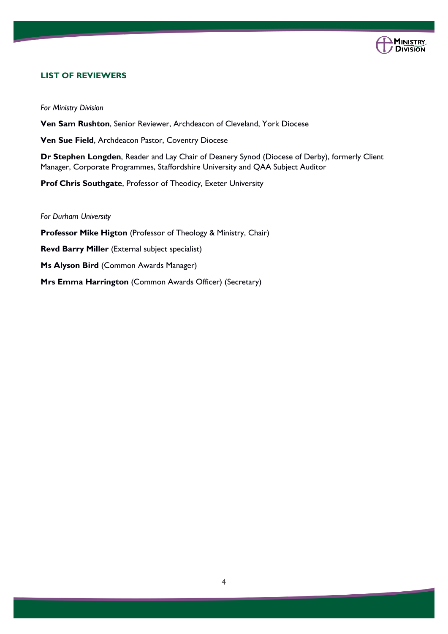

# **LIST OF REVIEWERS**

*For Ministry Division*

**Ven Sam Rushton**, Senior Reviewer, Archdeacon of Cleveland, York Diocese

**Ven Sue Field**, Archdeacon Pastor, Coventry Diocese

**Dr Stephen Longden**, Reader and Lay Chair of Deanery Synod (Diocese of Derby), formerly Client Manager, Corporate Programmes, Staffordshire University and QAA Subject Auditor

**Prof Chris Southgate**, Professor of Theodicy, Exeter University

*For Durham University*

**Professor Mike Higton** (Professor of Theology & Ministry, Chair) **Revd Barry Miller** (External subject specialist) **Ms Alyson Bird** (Common Awards Manager) **Mrs Emma Harrington** (Common Awards Officer) (Secretary)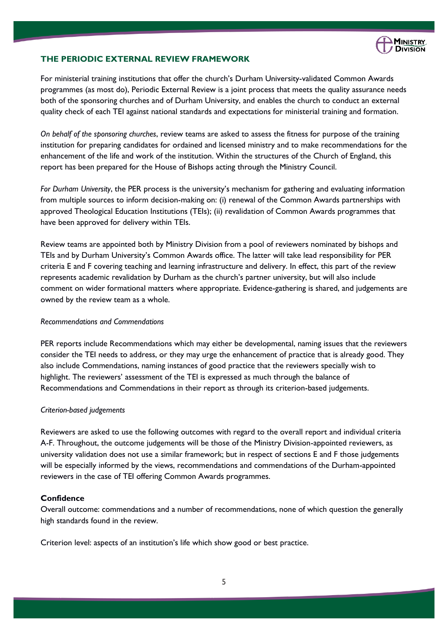

# **THE PERIODIC EXTERNAL REVIEW FRAMEWORK**

For ministerial training institutions that offer the church's Durham University-validated Common Awards programmes (as most do), Periodic External Review is a joint process that meets the quality assurance needs both of the sponsoring churches and of Durham University, and enables the church to conduct an external quality check of each TEI against national standards and expectations for ministerial training and formation.

*On behalf of the sponsoring churches*, review teams are asked to assess the fitness for purpose of the training institution for preparing candidates for ordained and licensed ministry and to make recommendations for the enhancement of the life and work of the institution. Within the structures of the Church of England, this report has been prepared for the House of Bishops acting through the Ministry Council.

*For Durham University*, the PER process is the university's mechanism for gathering and evaluating information from multiple sources to inform decision-making on: (i) renewal of the Common Awards partnerships with approved Theological Education Institutions (TEIs); (ii) revalidation of Common Awards programmes that have been approved for delivery within TEIs.

Review teams are appointed both by Ministry Division from a pool of reviewers nominated by bishops and TEIs and by Durham University's Common Awards office. The latter will take lead responsibility for PER criteria E and F covering teaching and learning infrastructure and delivery. In effect, this part of the review represents academic revalidation by Durham as the church's partner university, but will also include comment on wider formational matters where appropriate. Evidence-gathering is shared, and judgements are owned by the review team as a whole.

### *Recommendations and Commendations*

PER reports include Recommendations which may either be developmental, naming issues that the reviewers consider the TEI needs to address, or they may urge the enhancement of practice that is already good. They also include Commendations, naming instances of good practice that the reviewers specially wish to highlight. The reviewers' assessment of the TEI is expressed as much through the balance of Recommendations and Commendations in their report as through its criterion-based judgements.

#### *Criterion-based judgements*

Reviewers are asked to use the following outcomes with regard to the overall report and individual criteria A-F. Throughout, the outcome judgements will be those of the Ministry Division-appointed reviewers, as university validation does not use a similar framework; but in respect of sections E and F those judgements will be especially informed by the views, recommendations and commendations of the Durham-appointed reviewers in the case of TEI offering Common Awards programmes.

# **Confidence**

Overall outcome: commendations and a number of recommendations, none of which question the generally high standards found in the review.

Criterion level: aspects of an institution's life which show good or best practice.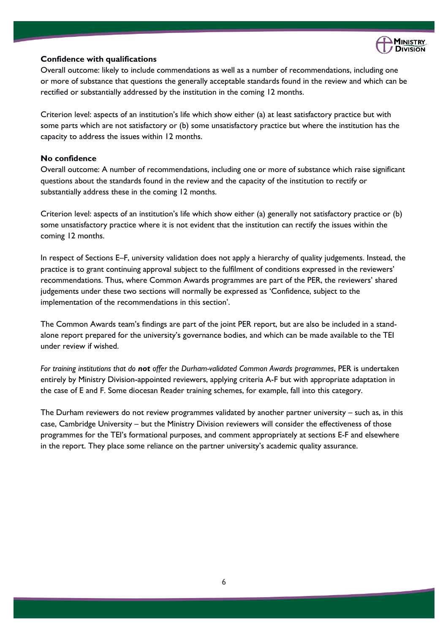

# **Confidence with qualifications**

Overall outcome: likely to include commendations as well as a number of recommendations, including one or more of substance that questions the generally acceptable standards found in the review and which can be rectified or substantially addressed by the institution in the coming 12 months.

Criterion level: aspects of an institution's life which show either (a) at least satisfactory practice but with some parts which are not satisfactory or (b) some unsatisfactory practice but where the institution has the capacity to address the issues within 12 months.

# **No confidence**

Overall outcome: A number of recommendations, including one or more of substance which raise significant questions about the standards found in the review and the capacity of the institution to rectify or substantially address these in the coming 12 months.

Criterion level: aspects of an institution's life which show either (a) generally not satisfactory practice or (b) some unsatisfactory practice where it is not evident that the institution can rectify the issues within the coming 12 months.

In respect of Sections E–F, university validation does not apply a hierarchy of quality judgements. Instead, the practice is to grant continuing approval subject to the fulfilment of conditions expressed in the reviewers' recommendations. Thus, where Common Awards programmes are part of the PER, the reviewers' shared judgements under these two sections will normally be expressed as 'Confidence, subject to the implementation of the recommendations in this section'.

The Common Awards team's findings are part of the joint PER report, but are also be included in a standalone report prepared for the university's governance bodies, and which can be made available to the TEI under review if wished.

*For training institutions that do not offer the Durham-validated Common Awards programmes*, PER is undertaken entirely by Ministry Division-appointed reviewers, applying criteria A-F but with appropriate adaptation in the case of E and F. Some diocesan Reader training schemes, for example, fall into this category.

The Durham reviewers do not review programmes validated by another partner university – such as, in this case, Cambridge University – but the Ministry Division reviewers will consider the effectiveness of those programmes for the TEI's formational purposes, and comment appropriately at sections E-F and elsewhere in the report. They place some reliance on the partner university's academic quality assurance.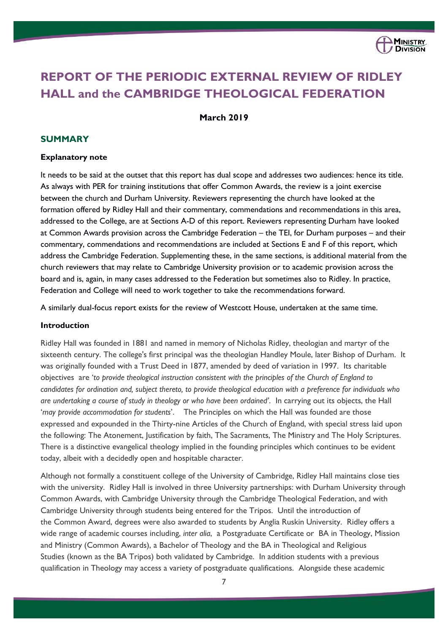

# **REPORT OF THE PERIODIC EXTERNAL REVIEW OF RIDLEY HALL and the CAMBRIDGE THEOLOGICAL FEDERATION**

# **March 2019**

### **SUMMARY**

#### **Explanatory note**

It needs to be said at the outset that this report has dual scope and addresses two audiences: hence its title. As always with PER for training institutions that offer Common Awards, the review is a joint exercise between the church and Durham University. Reviewers representing the church have looked at the formation offered by Ridley Hall and their commentary, commendations and recommendations in this area, addressed to the College, are at Sections A-D of this report. Reviewers representing Durham have looked at Common Awards provision across the Cambridge Federation – the TEI, for Durham purposes – and their commentary, commendations and recommendations are included at Sections E and F of this report, which address the Cambridge Federation. Supplementing these, in the same sections, is additional material from the church reviewers that may relate to Cambridge University provision or to academic provision across the board and is, again, in many cases addressed to the Federation but sometimes also to Ridley. In practice, Federation and College will need to work together to take the recommendations forward.

A similarly dual-focus report exists for the review of Westcott House, undertaken at the same time.

### **Introduction**

Ridley Hall was founded in 1881 and named in memory of [Nicholas Ridley,](https://en.wikipedia.org/wiki/Nicholas_Ridley_(martyr)) theologian and [martyr](https://en.wikipedia.org/wiki/Martyr) of the sixteenth century. The college's first principal was the theologian [Handley Moule,](https://en.wikipedia.org/wiki/Handley_Moule) later [Bishop of Durham.](https://en.wikipedia.org/wiki/Bishop_of_Durham) It was originally founded with a Trust Deed in 1877, amended by deed of variation in 1997. Its charitable objectives are '*to provide theological instruction consistent with the principles of the Church of England to candidates for ordination and, subject thereto, to provide theological education with a preference for individuals who are undertaking a course of study in theology or who have been ordained'*. In carrying out its objects, the Hall '*may provide accommodation for students*'. The Principles on which the Hall was founded are those expressed and expounded in the Thirty-nine Articles of the Church of England, with special stress laid upon the following: The Atonement, Justification by faith, The Sacraments, The Ministry and The Holy Scriptures. There is a distinctive evangelical theology implied in the founding principles which continues to be evident today, albeit with a decidedly open and hospitable character.

Although not formally a constituent college of the [University of Cambridge,](https://en.wikipedia.org/wiki/University_of_Cambridge) Ridley Hall maintains close ties with the university. Ridley Hall is involved in three University partnerships: with Durham University through Common Awards, with Cambridge University through the Cambridge Theological Federation, and with Cambridge University through students being entered for the Tripos. Until the introduction of the [Common Award,](https://en.wikipedia.org/wiki/Common_Award) degrees were also awarded to students by [Anglia Ruskin University.](https://en.wikipedia.org/wiki/Anglia_Ruskin_University) Ridley offers a wide range of academic courses including, *inter alia*, a Postgraduate Certificate or BA in Theology, Mission and Ministry (Common Awards), a Bachelor of Theology and the [BA in Theological and Religious](http://www.ridley.cam.ac.uk/study/courses/ba-tripos)  [Studies](http://www.ridley.cam.ac.uk/study/courses/ba-tripos) (known as the BA Tripos) both validated by Cambridge. In addition students with a previous qualification in Theology may access a variety of postgraduate qualifications. Alongside these academic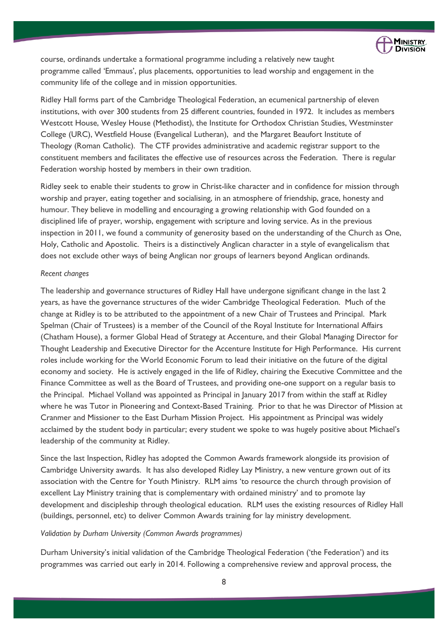

course, ordinands undertake a formational programme including a relatively new taught programme called 'Emmaus', plus placements, opportunities to lead worship and engagement in the community life of the college and in mission opportunities.

Ridley Hall forms part of the [Cambridge Theological Federation,](https://en.wikipedia.org/wiki/Cambridge_Theological_Federation) an ecumenical partnership of eleven institutions, with over 300 students from 25 different countries, founded in 1972. It includes as members Westcott House, Wesley House (Methodist), the Institute for Orthodox Christian Studies, Westminster College (URC), Westfield House (Evangelical Lutheran), and the Margaret Beaufort Institute of Theology (Roman Catholic). The CTF provides administrative and academic registrar support to the constituent members and facilitates the effective use of resources across the Federation. There is regular Federation worship hosted by members in their own tradition.

Ridley seek to enable their students to grow in Christ-like character and in confidence for mission through worship and prayer, eating together and socialising, in an atmosphere of friendship, grace, honesty and humour. They believe in modelling and encouraging a growing relationship with God founded on a disciplined life of prayer, worship, engagement with scripture and loving service. As in the previous inspection in 2011, we found a community of generosity based on the understanding of the Church as One, Holy, Catholic and Apostolic. Theirs is a distinctively Anglican character in a style of evangelicalism that does not exclude other ways of being Anglican nor groups of learners beyond Anglican ordinands.

#### *Recent changes*

The leadership and governance structures of Ridley Hall have undergone significant change in the last 2 years, as have the governance structures of the wider Cambridge Theological Federation. Much of the change at Ridley is to be attributed to the appointment of a new Chair of Trustees and Principal. Mark Spelman (Chair of Trustees) is a member of the Council of the Royal Institute for International Affairs (Chatham House), a former Global Head of Strategy at Accenture, and their Global Managing Director for Thought Leadership and Executive Director for the Accenture Institute for High Performance. His current roles include working for the World Economic Forum to lead their initiative on the future of the digital economy and society. He is actively engaged in the life of Ridley, chairing the Executive Committee and the Finance Committee as well as the Board of Trustees, and providing one-one support on a regular basis to the Principal. Michael Volland was appointed as Principal in January 2017 from within the staff at Ridley where he was Tutor in Pioneering and Context-Based Training. Prior to that he was Director of Mission at Cranmer and Missioner to the East Durham Mission Project. His appointment as Principal was widely acclaimed by the student body in particular; every student we spoke to was hugely positive about Michael's leadership of the community at Ridley.

Since the last Inspection, Ridley has adopted the Common Awards framework alongside its provision of Cambridge University awards. It has also developed Ridley Lay Ministry, a new venture grown out of its association with the Centre for Youth Ministry. RLM aims 'to resource the church through provision of excellent Lay Ministry training that is complementary with ordained ministry' and to promote lay development and discipleship through theological education. RLM uses the existing resources of Ridley Hall (buildings, personnel, etc) to deliver Common Awards training for lay ministry development.

#### *Validation by Durham University (Common Awards programmes)*

Durham University's initial validation of the Cambridge Theological Federation ('the Federation') and its programmes was carried out early in 2014. Following a comprehensive review and approval process, the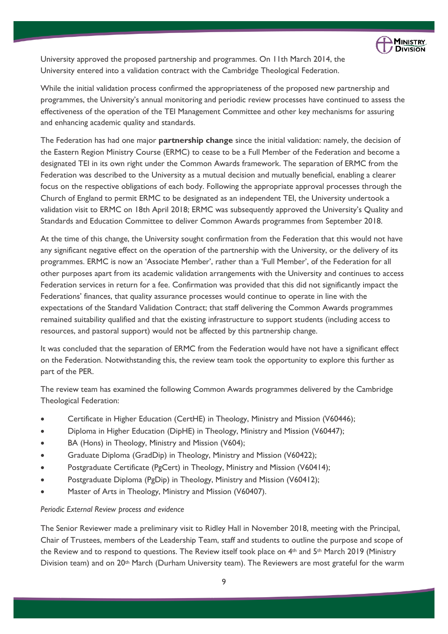

University approved the proposed partnership and programmes. On 11th March 2014, the University entered into a validation contract with the Cambridge Theological Federation.

While the initial validation process confirmed the appropriateness of the proposed new partnership and programmes, the University's annual monitoring and periodic review processes have continued to assess the effectiveness of the operation of the TEI Management Committee and other key mechanisms for assuring and enhancing academic quality and standards.

The Federation has had one major **partnership change** since the initial validation: namely, the decision of the Eastern Region Ministry Course (ERMC) to cease to be a Full Member of the Federation and become a designated TEI in its own right under the Common Awards framework. The separation of ERMC from the Federation was described to the University as a mutual decision and mutually beneficial, enabling a clearer focus on the respective obligations of each body. Following the appropriate approval processes through the Church of England to permit ERMC to be designated as an independent TEI, the University undertook a validation visit to ERMC on 18th April 2018; ERMC was subsequently approved the University's Quality and Standards and Education Committee to deliver Common Awards programmes from September 2018.

At the time of this change, the University sought confirmation from the Federation that this would not have any significant negative effect on the operation of the partnership with the University, or the delivery of its programmes. ERMC is now an 'Associate Member', rather than a 'Full Member', of the Federation for all other purposes apart from its academic validation arrangements with the University and continues to access Federation services in return for a fee. Confirmation was provided that this did not significantly impact the Federations' finances, that quality assurance processes would continue to operate in line with the expectations of the Standard Validation Contract; that staff delivering the Common Awards programmes remained suitability qualified and that the existing infrastructure to support students (including access to resources, and pastoral support) would not be affected by this partnership change.

It was concluded that the separation of ERMC from the Federation would have not have a significant effect on the Federation. Notwithstanding this, the review team took the opportunity to explore this further as part of the PER.

The review team has examined the following Common Awards programmes delivered by the Cambridge Theological Federation:

- Certificate in Higher Education (CertHE) in Theology, Ministry and Mission (V60446);
- Diploma in Higher Education (DipHE) in Theology, Ministry and Mission (V60447);
- BA (Hons) in Theology, Ministry and Mission (V604);
- Graduate Diploma (GradDip) in Theology, Ministry and Mission (V60422);
- Postgraduate Certificate (PgCert) in Theology, Ministry and Mission (V60414);
- Postgraduate Diploma (PgDip) in Theology, Ministry and Mission (V60412);
- Master of Arts in Theology, Ministry and Mission (V60407).

# *Periodic External Review process and evidence*

The Senior Reviewer made a preliminary visit to Ridley Hall in November 2018, meeting with the Principal, Chair of Trustees, members of the Leadership Team, staff and students to outline the purpose and scope of the Review and to respond to questions. The Review itself took place on 4th and 5th March 2019 (Ministry Division team) and on 20th March (Durham University team). The Reviewers are most grateful for the warm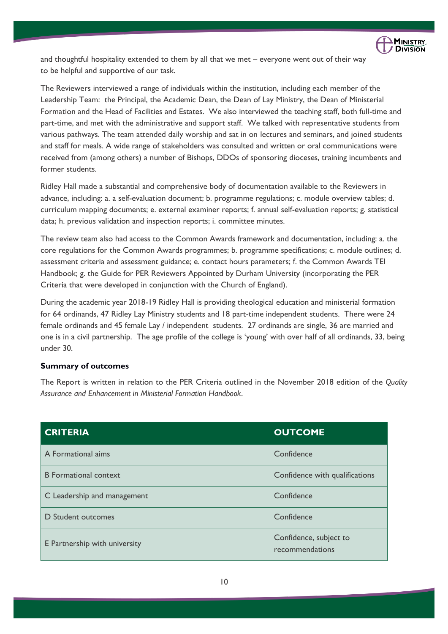

and thoughtful hospitality extended to them by all that we met – everyone went out of their way to be helpful and supportive of our task.

The Reviewers interviewed a range of individuals within the institution, including each member of the Leadership Team: the Principal, the Academic Dean, the Dean of Lay Ministry, the Dean of Ministerial Formation and the Head of Facilities and Estates. We also interviewed the teaching staff, both full-time and part-time, and met with the administrative and support staff. We talked with representative students from various pathways. The team attended daily worship and sat in on lectures and seminars, and joined students and staff for meals. A wide range of stakeholders was consulted and written or oral communications were received from (among others) a number of Bishops, DDOs of sponsoring dioceses, training incumbents and former students.

Ridley Hall made a substantial and comprehensive body of documentation available to the Reviewers in advance, including: a. a self-evaluation document; b. programme regulations; c. module overview tables; d. curriculum mapping documents; e. external examiner reports; f. annual self-evaluation reports; g. statistical data; h. previous validation and inspection reports; i. committee minutes.

The review team also had access to the Common Awards framework and documentation, including: a. the core regulations for the Common Awards programmes; b. programme specifications; c. module outlines; d. assessment criteria and assessment guidance; e. contact hours parameters; f. the Common Awards TEI Handbook; g. the Guide for PER Reviewers Appointed by Durham University (incorporating the PER Criteria that were developed in conjunction with the Church of England).

During the academic year 2018-19 Ridley Hall is providing theological education and ministerial formation for 64 ordinands, 47 Ridley Lay Ministry students and 18 part-time independent students. There were 24 female ordinands and 45 female Lay / independent students. 27 ordinands are single, 36 are married and one is in a civil partnership. The age profile of the college is 'young' with over half of all ordinands, 33, being under 30.

# **Summary of outcomes**

The Report is written in relation to the PER Criteria outlined in the November 2018 edition of the *Quality Assurance and Enhancement in Ministerial Formation Handbook*.

| <b>CRITERIA</b>               | <b>OUTCOME</b>                            |
|-------------------------------|-------------------------------------------|
| A Formational aims            | Confidence                                |
| <b>B</b> Formational context  | Confidence with qualifications            |
| C Leadership and management   | Confidence                                |
| D Student outcomes            | Confidence                                |
| E Partnership with university | Confidence, subject to<br>recommendations |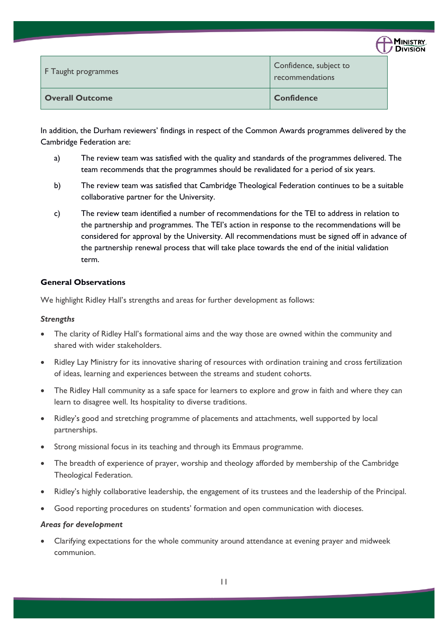| $\Delta$ MINISTRY    |  |
|----------------------|--|
| ,<br><b>DIVISION</b> |  |

| F Taught programmes    | Confidence, subject to<br>recommendations |
|------------------------|-------------------------------------------|
| <b>Overall Outcome</b> | <b>Confidence</b>                         |

In addition, the Durham reviewers' findings in respect of the Common Awards programmes delivered by the Cambridge Federation are:

- a) The review team was satisfied with the quality and standards of the programmes delivered. The team recommends that the programmes should be revalidated for a period of six years.
- b) The review team was satisfied that Cambridge Theological Federation continues to be a suitable collaborative partner for the University.
- c) The review team identified a number of recommendations for the TEI to address in relation to the partnership and programmes. The TEI's action in response to the recommendations will be considered for approval by the University. All recommendations must be signed off in advance of the partnership renewal process that will take place towards the end of the initial validation term.

# **General Observations**

We highlight Ridley Hall's strengths and areas for further development as follows:

# *Strengths*

- The clarity of Ridley Hall's formational aims and the way those are owned within the community and shared with wider stakeholders.
- Ridley Lay Ministry for its innovative sharing of resources with ordination training and cross fertilization of ideas, learning and experiences between the streams and student cohorts.
- The Ridley Hall community as a safe space for learners to explore and grow in faith and where they can learn to disagree well. Its hospitality to diverse traditions.
- Ridley's good and stretching programme of placements and attachments, well supported by local partnerships.
- Strong missional focus in its teaching and through its Emmaus programme.
- The breadth of experience of prayer, worship and theology afforded by membership of the Cambridge Theological Federation.
- Ridley's highly collaborative leadership, the engagement of its trustees and the leadership of the Principal.
- Good reporting procedures on students' formation and open communication with dioceses.

# *Areas for development*

• Clarifying expectations for the whole community around attendance at evening prayer and midweek communion.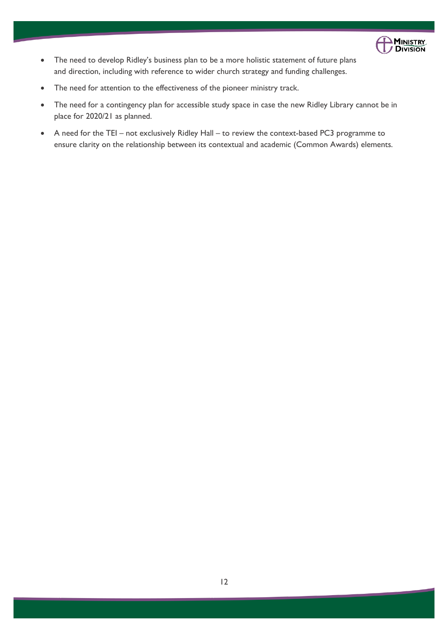

- The need to develop Ridley's business plan to be a more holistic statement of future plans and direction, including with reference to wider church strategy and funding challenges.
- The need for attention to the effectiveness of the pioneer ministry track.
- The need for a contingency plan for accessible study space in case the new Ridley Library cannot be in place for 2020/21 as planned.
- A need for the TEI not exclusively Ridley Hall to review the context-based PC3 programme to ensure clarity on the relationship between its contextual and academic (Common Awards) elements.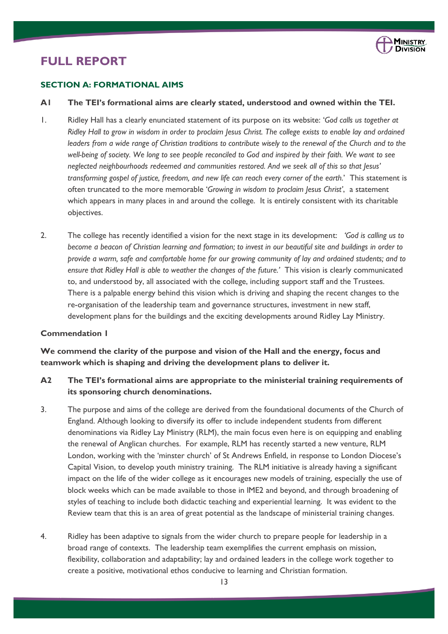

# **FULL REPORT**

# **SECTION A: FORMATIONAL AIMS**

#### **A1 The TEI's formational aims are clearly stated, understood and owned within the TEI.**

- 1. Ridley Hall has a clearly enunciated statement of its purpose on its website: '*God calls us together at Ridley Hall to grow in wisdom in order to proclaim Jesus Christ. The college exists to enable lay and ordained*  leaders from a wide range of Christian traditions to contribute wisely to the renewal of the Church and to the *well-being of society. We long to see people reconciled to God and inspired by their faith. We want to see neglected neighbourhoods redeemed and communities restored. And we seek all of this so that Jesus' transforming gospel of justice, freedom, and new life can reach every corner of the earth.*' This statement is often truncated to the more memorable '*Growing in wisdom to proclaim Jesus Christ'*, a statement which appears in many places in and around the college. It is entirely consistent with its charitable objectives.
- 2. The college has recently identified a vision for the next stage in its development: *'God is calling us to become a beacon of Christian learning and formation; to invest in our beautiful site and buildings in order to provide a warm, safe and comfortable home for our growing community of lay and ordained students; and to ensure that Ridley Hall is able to weather the changes of the future.'* This vision is clearly communicated to, and understood by, all associated with the college, including support staff and the Trustees. There is a palpable energy behind this vision which is driving and shaping the recent changes to the re-organisation of the leadership team and governance structures, investment in new staff, development plans for the buildings and the exciting developments around Ridley Lay Ministry.

# **Commendation 1**

**We commend the clarity of the purpose and vision of the Hall and the energy, focus and teamwork which is shaping and driving the development plans to deliver it.** 

# **A2 The TEI's formational aims are appropriate to the ministerial training requirements of its sponsoring church denominations.**

- 3. The purpose and aims of the college are derived from the foundational documents of the Church of England. Although looking to diversify its offer to include independent students from different denominations via Ridley Lay Ministry (RLM), the main focus even here is on equipping and enabling the renewal of Anglican churches. For example, RLM has recently started a new venture, RLM London, working with the 'minster church' of St Andrews Enfield, in response to London Diocese's Capital Vision, to develop youth ministry training. The RLM initiative is already having a significant impact on the life of the wider college as it encourages new models of training, especially the use of block weeks which can be made available to those in IME2 and beyond, and through broadening of styles of teaching to include both didactic teaching and experiential learning. It was evident to the Review team that this is an area of great potential as the landscape of ministerial training changes.
- 4. Ridley has been adaptive to signals from the wider church to prepare people for leadership in a broad range of contexts. The leadership team exemplifies the current emphasis on mission, flexibility, collaboration and adaptability; lay and ordained leaders in the college work together to create a positive, motivational ethos conducive to learning and Christian formation.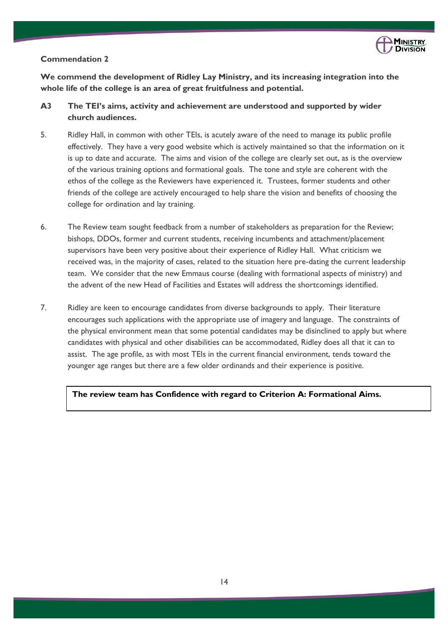

# **Commendation 2**

**We commend the development of Ridley Lay Ministry, and its increasing integration into the whole life of the college is an area of great fruitfulness and potential.** 

- **A3 The TEI's aims, activity and achievement are understood and supported by wider church audiences.**
- 5. Ridley Hall, in common with other TEIs, is acutely aware of the need to manage its public profile effectively. They have a very good website which is actively maintained so that the information on it is up to date and accurate. The aims and vision of the college are clearly set out, as is the overview of the various training options and formational goals. The tone and style are coherent with the ethos of the college as the Reviewers have experienced it. Trustees, former students and other friends of the college are actively encouraged to help share the vision and benefits of choosing the college for ordination and lay training.
- 6. The Review team sought feedback from a number of stakeholders as preparation for the Review; bishops, DDOs, former and current students, receiving incumbents and attachment/placement supervisors have been very positive about their experience of Ridley Hall. What criticism we received was, in the majority of cases, related to the situation here pre-dating the current leadership team. We consider that the new Emmaus course (dealing with formational aspects of ministry) and the advent of the new Head of Facilities and Estates will address the shortcomings identified.
- 7. Ridley are keen to encourage candidates from diverse backgrounds to apply. Their literature encourages such applications with the appropriate use of imagery and language. The constraints of the physical environment mean that some potential candidates may be disinclined to apply but where candidates with physical and other disabilities can be accommodated, Ridley does all that it can to assist. The age profile, as with most TEIs in the current financial environment, tends toward the younger age ranges but there are a few older ordinands and their experience is positive.

**The review team has Confidence with regard to Criterion A: Formational Aims.**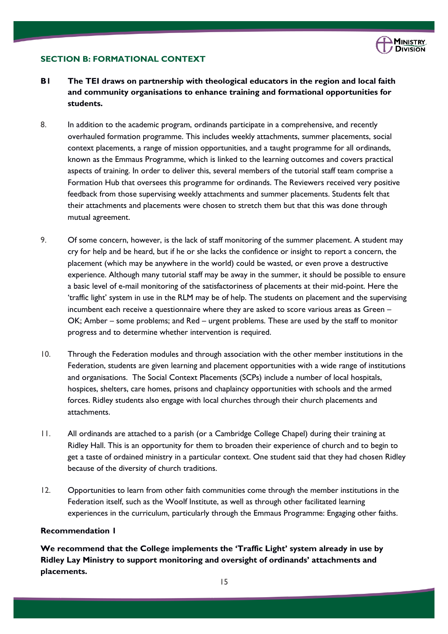

# **SECTION B: FORMATIONAL CONTEXT**

- **B1 The TEI draws on partnership with theological educators in the region and local faith and community organisations to enhance training and formational opportunities for students.**
- 8. In addition to the academic program, ordinands participate in a comprehensive, and recently overhauled formation programme. This includes weekly attachments, summer placements, social context placements, a range of mission opportunities, and a taught programme for all ordinands, known as the Emmaus Programme, which is linked to the learning outcomes and covers practical aspects of training. In order to deliver this, several members of the tutorial staff team comprise a Formation Hub that oversees this programme for ordinands. The Reviewers received very positive feedback from those supervising weekly attachments and summer placements. Students felt that their attachments and placements were chosen to stretch them but that this was done through mutual agreement.
- 9. Of some concern, however, is the lack of staff monitoring of the summer placement. A student may cry for help and be heard, but if he or she lacks the confidence or insight to report a concern, the placement (which may be anywhere in the world) could be wasted, or even prove a destructive experience. Although many tutorial staff may be away in the summer, it should be possible to ensure a basic level of e-mail monitoring of the satisfactoriness of placements at their mid-point. Here the 'traffic light' system in use in the RLM may be of help. The students on placement and the supervising incumbent each receive a questionnaire where they are asked to score various areas as Green – OK; Amber – some problems; and Red – urgent problems. These are used by the staff to monitor progress and to determine whether intervention is required.
- 10. Through the Federation modules and through association with the other member institutions in the Federation, students are given learning and placement opportunities with a wide range of institutions and organisations. The Social Context Placements (SCPs) include a number of local hospitals, hospices, shelters, care homes, prisons and chaplaincy opportunities with schools and the armed forces. Ridley students also engage with local churches through their church placements and attachments.
- 11. All ordinands are attached to a parish (or a Cambridge College Chapel) during their training at Ridley Hall. This is an opportunity for them to broaden their experience of church and to begin to get a taste of ordained ministry in a particular context. One student said that they had chosen Ridley because of the diversity of church traditions.
- 12. Opportunities to learn from other faith communities come through the member institutions in the Federation itself, such as the Woolf Institute, as well as through other facilitated learning experiences in the curriculum, particularly through the Emmaus Programme: Engaging other faiths.

# **Recommendation 1**

**We recommend that the College implements the 'Traffic Light' system already in use by Ridley Lay Ministry to support monitoring and oversight of ordinands' attachments and placements.**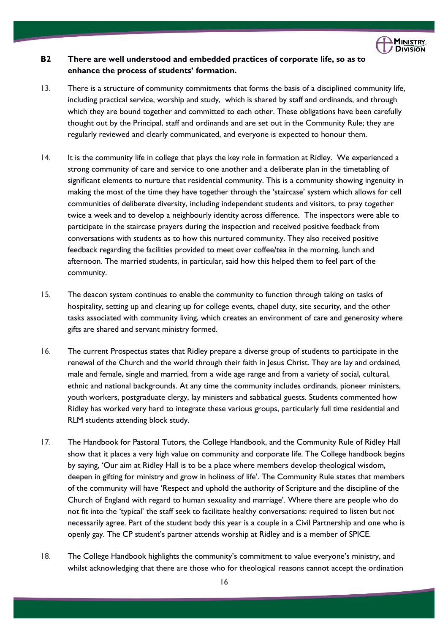

# **B2 There are well understood and embedded practices of corporate life, so as to enhance the process of students' formation.**

- 13. There is a structure of community commitments that forms the basis of a disciplined community life, including practical service, worship and study, which is shared by staff and ordinands, and through which they are bound together and committed to each other. These obligations have been carefully thought out by the Principal, staff and ordinands and are set out in the Community Rule; they are regularly reviewed and clearly communicated, and everyone is expected to honour them.
- 14. It is the community life in college that plays the key role in formation at Ridley. We experienced a strong community of care and service to one another and a deliberate plan in the timetabling of significant elements to nurture that residential community. This is a community showing ingenuity in making the most of the time they have together through the 'staircase' system which allows for cell communities of deliberate diversity, including independent students and visitors, to pray together twice a week and to develop a neighbourly identity across difference. The inspectors were able to participate in the staircase prayers during the inspection and received positive feedback from conversations with students as to how this nurtured community. They also received positive feedback regarding the facilities provided to meet over coffee/tea in the morning, lunch and afternoon. The married students, in particular, said how this helped them to feel part of the community.
- 15. The deacon system continues to enable the community to function through taking on tasks of hospitality, setting up and clearing up for college events, chapel duty, site security, and the other tasks associated with community living, which creates an environment of care and generosity where gifts are shared and servant ministry formed.
- 16. The current Prospectus states that Ridley prepare a diverse group of students to participate in the renewal of the Church and the world through their faith in Jesus Christ. They are lay and ordained, male and female, single and married, from a wide age range and from a variety of social, cultural, ethnic and national backgrounds. At any time the community includes ordinands, pioneer ministers, youth workers, postgraduate clergy, lay ministers and sabbatical guests. Students commented how Ridley has worked very hard to integrate these various groups, particularly full time residential and RLM students attending block study.
- 17. The Handbook for Pastoral Tutors, the College Handbook, and the Community Rule of Ridley Hall show that it places a very high value on community and corporate life. The College handbook begins by saying, 'Our aim at Ridley Hall is to be a place where members develop theological wisdom, deepen in gifting for ministry and grow in holiness of life'. The Community Rule states that members of the community will have 'Respect and uphold the authority of Scripture and the discipline of the Church of England with regard to human sexuality and marriage'. Where there are people who do not fit into the 'typical' the staff seek to facilitate healthy conversations: required to listen but not necessarily agree. Part of the student body this year is a couple in a Civil Partnership and one who is openly gay. The CP student's partner attends worship at Ridley and is a member of SPICE.
- 18. The College Handbook highlights the community's commitment to value everyone's ministry, and whilst acknowledging that there are those who for theological reasons cannot accept the ordination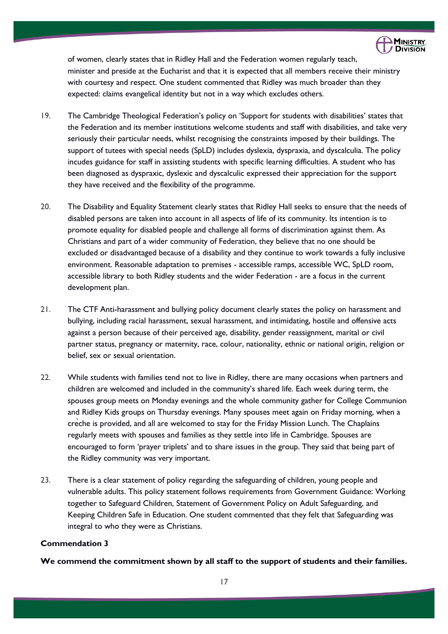

of women, clearly states that in Ridley Hall and the Federation women regularly teach, minister and preside at the Eucharist and that it is expected that all members receive their ministry with courtesy and respect. One student commented that Ridley was much broader than they expected: claims evangelical identity but not in a way which excludes others.

- 19. The Cambridge Theological Federation's policy on 'Support for students with disabilities' states that the Federation and its member institutions welcome students and staff with disabilities, and take very seriously their particular needs, whilst recognising the constraints imposed by their buildings. The support of tutees with special needs (SpLD) includes dyslexia, dyspraxia, and dyscalculia. The policy incudes guidance for staff in assisting students with specific learning difficulties. A student who has been diagnosed as dyspraxic, dyslexic and dyscalculic expressed their appreciation for the support they have received and the flexibility of the programme.
- 20. The Disability and Equality Statement clearly states that Ridley Hall seeks to ensure that the needs of disabled persons are taken into account in all aspects of life of its community. Its intention is to promote equality for disabled people and challenge all forms of discrimination against them. As Christians and part of a wider community of Federation, they believe that no one should be excluded or disadvantaged because of a disability and they continue to work towards a fully inclusive environment. Reasonable adaptation to premises - accessible ramps, accessible WC, SpLD room, accessible library to both Ridley students and the wider Federation - are a focus in the current development plan.
- 21. The CTF Anti-harassment and bullying policy document clearly states the policy on harassment and bullying, including racial harassment, sexual harassment, and intimidating, hostile and offensive acts against a person because of their perceived age, disability, gender reassignment, marital or civil partner status, pregnancy or maternity, race, colour, nationality, ethnic or national origin, religion or belief, sex or sexual orientation.
- 22. While students with families tend not to live in Ridley, there are many occasions when partners and children are welcomed and included in the community's shared life. Each week during term, the spouses group meets on Monday evenings and the whole community gather for College Communion and Ridley Kids groups on Thursday evenings. Many spouses meet again on Friday morning, when a crèche is provided, and all are welcomed to stay for the Friday Mission Lunch. The Chaplains regularly meets with spouses and families as they settle into life in Cambridge. Spouses are encouraged to form 'prayer triplets' and to share issues in the group. They said that being part of the Ridley community was very important.
- 23. There is a clear statement of policy regarding the safeguarding of children, young people and vulnerable adults. This policy statement follows requirements from Government Guidance: Working together to Safeguard Children, Statement of Government Policy on Adult Safeguarding, and Keeping Children Safe in Education. One student commented that they felt that Safeguarding was integral to who they were as Christians.

### **Commendation 3**

**We commend the commitment shown by all staff to the support of students and their families.**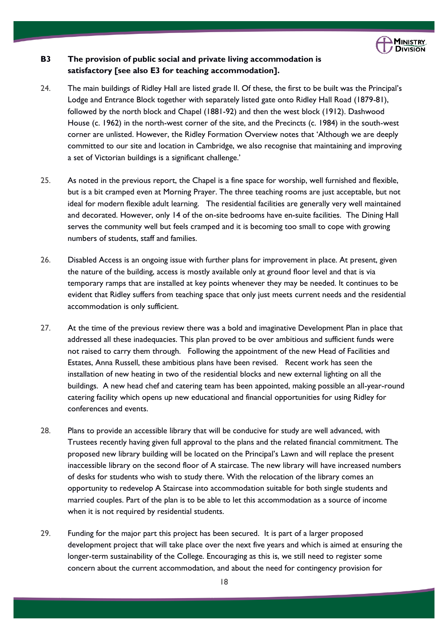

# **B3 The provision of public social and private living accommodation is satisfactory [see also E3 for teaching accommodation].**

- 24. The main buildings of Ridley Hall are listed grade II. Of these, the first to be built was the Principal's Lodge and Entrance Block together with separately listed gate onto Ridley Hall Road (1879-81), followed by the north block and Chapel (1881-92) and then the west block (1912). Dashwood House (c. 1962) in the north-west corner of the site, and the Precincts (c. 1984) in the south-west corner are unlisted. However, the Ridley Formation Overview notes that 'Although we are deeply committed to our site and location in Cambridge, we also recognise that maintaining and improving a set of Victorian buildings is a significant challenge.'
- 25. As noted in the previous report, the Chapel is a fine space for worship, well furnished and flexible, but is a bit cramped even at Morning Prayer. The three teaching rooms are just acceptable, but not ideal for modern flexible adult learning. The residential facilities are generally very well maintained and decorated. However, only 14 of the on-site bedrooms have en-suite facilities. The Dining Hall serves the community well but feels cramped and it is becoming too small to cope with growing numbers of students, staff and families.
- 26. Disabled Access is an ongoing issue with further plans for improvement in place. At present, given the nature of the building, access is mostly available only at ground floor level and that is via temporary ramps that are installed at key points whenever they may be needed. It continues to be evident that Ridley suffers from teaching space that only just meets current needs and the residential accommodation is only sufficient.
- 27. At the time of the previous review there was a bold and imaginative Development Plan in place that addressed all these inadequacies. This plan proved to be over ambitious and sufficient funds were not raised to carry them through. Following the appointment of the new Head of Facilities and Estates, Anna Russell, these ambitious plans have been revised. Recent work has seen the installation of new heating in two of the residential blocks and new external lighting on all the buildings. A new head chef and catering team has been appointed, making possible an all-year-round catering facility which opens up new educational and financial opportunities for using Ridley for conferences and events.
- 28. Plans to provide an accessible library that will be conducive for study are well advanced, with Trustees recently having given full approval to the plans and the related financial commitment. The proposed new library building will be located on the Principal's Lawn and will replace the present inaccessible library on the second floor of A staircase. The new library will have increased numbers of desks for students who wish to study there. With the relocation of the library comes an opportunity to redevelop A Staircase into accommodation suitable for both single students and married couples. Part of the plan is to be able to let this accommodation as a source of income when it is not required by residential students.
- 29. Funding for the major part this project has been secured. It is part of a larger proposed development project that will take place over the next five years and which is aimed at ensuring the longer-term sustainability of the College. Encouraging as this is, we still need to register some concern about the current accommodation, and about the need for contingency provision for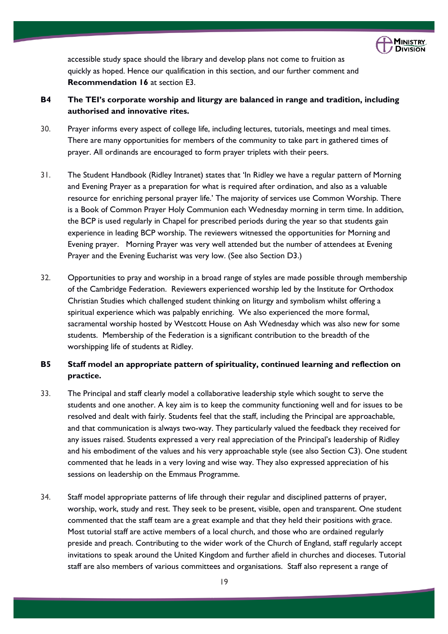

accessible study space should the library and develop plans not come to fruition as quickly as hoped. Hence our qualification in this section, and our further comment and **Recommendation 16** at section E3.

- **B4 The TEI's corporate worship and liturgy are balanced in range and tradition, including authorised and innovative rites.**
- 30. Prayer informs every aspect of college life, including lectures, tutorials, meetings and meal times. There are many opportunities for members of the community to take part in gathered times of prayer. All ordinands are encouraged to form prayer triplets with their peers.
- 31. The Student Handbook (Ridley Intranet) states that 'In Ridley we have a regular pattern of Morning and Evening Prayer as a preparation for what is required after ordination, and also as a valuable resource for enriching personal prayer life.' The majority of services use Common Worship. There is a Book of Common Prayer Holy Communion each Wednesday morning in term time. In addition, the BCP is used regularly in Chapel for prescribed periods during the year so that students gain experience in leading BCP worship. The reviewers witnessed the opportunities for Morning and Evening prayer. Morning Prayer was very well attended but the number of attendees at Evening Prayer and the Evening Eucharist was very low. (See also Section D3.)
- 32. Opportunities to pray and worship in a broad range of styles are made possible through membership of the Cambridge Federation. Reviewers experienced worship led by the Institute for Orthodox Christian Studies which challenged student thinking on liturgy and symbolism whilst offering a spiritual experience which was palpably enriching. We also experienced the more formal, sacramental worship hosted by Westcott House on Ash Wednesday which was also new for some students. Membership of the Federation is a significant contribution to the breadth of the worshipping life of students at Ridley.

# **B5 Staff model an appropriate pattern of spirituality, continued learning and reflection on practice.**

- 33. The Principal and staff clearly model a collaborative leadership style which sought to serve the students and one another. A key aim is to keep the community functioning well and for issues to be resolved and dealt with fairly. Students feel that the staff, including the Principal are approachable, and that communication is always two-way. They particularly valued the feedback they received for any issues raised. Students expressed a very real appreciation of the Principal's leadership of Ridley and his embodiment of the values and his very approachable style (see also Section C3). One student commented that he leads in a very loving and wise way. They also expressed appreciation of his sessions on leadership on the Emmaus Programme.
- 34. Staff model appropriate patterns of life through their regular and disciplined patterns of prayer, worship, work, study and rest. They seek to be present, visible, open and transparent. One student commented that the staff team are a great example and that they held their positions with grace. Most tutorial staff are active members of a local church, and those who are ordained regularly preside and preach. Contributing to the wider work of the Church of England, staff regularly accept invitations to speak around the United Kingdom and further afield in churches and dioceses. Tutorial staff are also members of various committees and organisations. Staff also represent a range of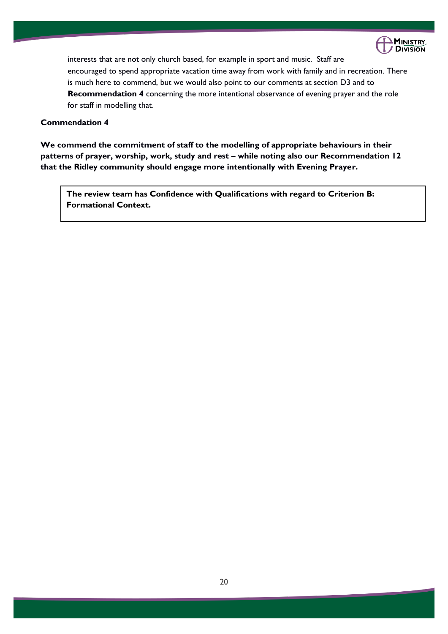

interests that are not only church based, for example in sport and music. Staff are encouraged to spend appropriate vacation time away from work with family and in recreation. There is much here to commend, but we would also point to our comments at section D3 and to **Recommendation 4** concerning the more intentional observance of evening prayer and the role for staff in modelling that.

# **Commendation 4**

**We commend the commitment of staff to the modelling of appropriate behaviours in their patterns of prayer, worship, work, study and rest – while noting also our Recommendation 12 that the Ridley community should engage more intentionally with Evening Prayer.**

**The review team has Confidence with Qualifications with regard to Criterion B: Formational Context.**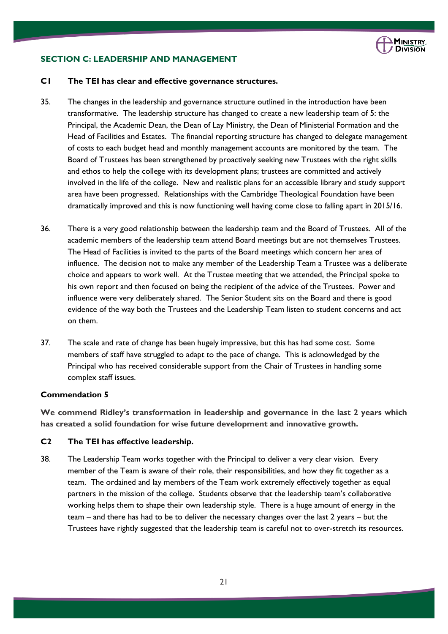

# **SECTION C: LEADERSHIP AND MANAGEMENT**

#### **C1 The TEI has clear and effective governance structures.**

- 35. The changes in the leadership and governance structure outlined in the introduction have been transformative. The leadership structure has changed to create a new leadership team of 5: the Principal, the Academic Dean, the Dean of Lay Ministry, the Dean of Ministerial Formation and the Head of Facilities and Estates. The financial reporting structure has changed to delegate management of costs to each budget head and monthly management accounts are monitored by the team. The Board of Trustees has been strengthened by proactively seeking new Trustees with the right skills and ethos to help the college with its development plans; trustees are committed and actively involved in the life of the college. New and realistic plans for an accessible library and study support area have been progressed. Relationships with the Cambridge Theological Foundation have been dramatically improved and this is now functioning well having come close to falling apart in 2015/16.
- 36. There is a very good relationship between the leadership team and the Board of Trustees. All of the academic members of the leadership team attend Board meetings but are not themselves Trustees. The Head of Facilities is invited to the parts of the Board meetings which concern her area of influence. The decision not to make any member of the Leadership Team a Trustee was a deliberate choice and appears to work well. At the Trustee meeting that we attended, the Principal spoke to his own report and then focused on being the recipient of the advice of the Trustees. Power and influence were very deliberately shared. The Senior Student sits on the Board and there is good evidence of the way both the Trustees and the Leadership Team listen to student concerns and act on them.
- 37. The scale and rate of change has been hugely impressive, but this has had some cost. Some members of staff have struggled to adapt to the pace of change. This is acknowledged by the Principal who has received considerable support from the Chair of Trustees in handling some complex staff issues.

# **Commendation 5**

**We commend Ridley's transformation in leadership and governance in the last 2 years which has created a solid foundation for wise future development and innovative growth.** 

# **C2 The TEI has effective leadership.**

38. The Leadership Team works together with the Principal to deliver a very clear vision. Every member of the Team is aware of their role, their responsibilities, and how they fit together as a team. The ordained and lay members of the Team work extremely effectively together as equal partners in the mission of the college. Students observe that the leadership team's collaborative working helps them to shape their own leadership style. There is a huge amount of energy in the team – and there has had to be to deliver the necessary changes over the last 2 years – but the Trustees have rightly suggested that the leadership team is careful not to over-stretch its resources.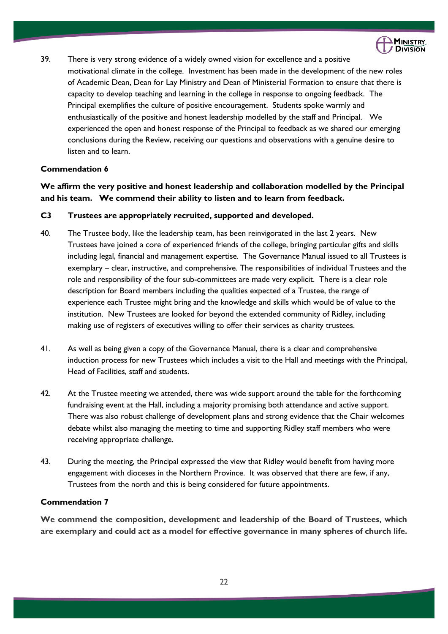

39. There is very strong evidence of a widely owned vision for excellence and a positive motivational climate in the college. Investment has been made in the development of the new roles of Academic Dean, Dean for Lay Ministry and Dean of Ministerial Formation to ensure that there is capacity to develop teaching and learning in the college in response to ongoing feedback. The Principal exemplifies the culture of positive encouragement. Students spoke warmly and enthusiastically of the positive and honest leadership modelled by the staff and Principal. We experienced the open and honest response of the Principal to feedback as we shared our emerging conclusions during the Review, receiving our questions and observations with a genuine desire to listen and to learn.

# **Commendation 6**

**We affirm the very positive and honest leadership and collaboration modelled by the Principal and his team. We commend their ability to listen and to learn from feedback.** 

# **C3 Trustees are appropriately recruited, supported and developed.**

- 40. The Trustee body, like the leadership team, has been reinvigorated in the last 2 years. New Trustees have joined a core of experienced friends of the college, bringing particular gifts and skills including legal, financial and management expertise. The Governance Manual issued to all Trustees is exemplary – clear, instructive, and comprehensive. The responsibilities of individual Trustees and the role and responsibility of the four sub-committees are made very explicit. There is a clear role description for Board members including the qualities expected of a Trustee, the range of experience each Trustee might bring and the knowledge and skills which would be of value to the institution. New Trustees are looked for beyond the extended community of Ridley, including making use of registers of executives willing to offer their services as charity trustees.
- 41. As well as being given a copy of the Governance Manual, there is a clear and comprehensive induction process for new Trustees which includes a visit to the Hall and meetings with the Principal, Head of Facilities, staff and students.
- 42. At the Trustee meeting we attended, there was wide support around the table for the forthcoming fundraising event at the Hall, including a majority promising both attendance and active support. There was also robust challenge of development plans and strong evidence that the Chair welcomes debate whilst also managing the meeting to time and supporting Ridley staff members who were receiving appropriate challenge.
- 43. During the meeting, the Principal expressed the view that Ridley would benefit from having more engagement with dioceses in the Northern Province. It was observed that there are few, if any, Trustees from the north and this is being considered for future appointments.

# **Commendation 7**

**We commend the composition, development and leadership of the Board of Trustees, which are exemplary and could act as a model for effective governance in many spheres of church life.**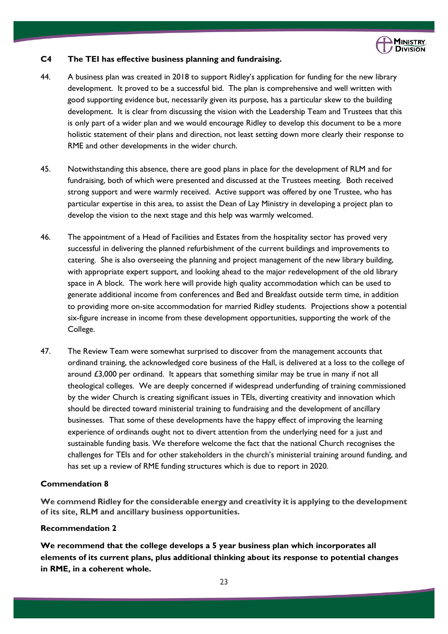

# **C4 The TEI has effective business planning and fundraising.**

- 44. A business plan was created in 2018 to support Ridley's application for funding for the new library development. It proved to be a successful bid. The plan is comprehensive and well written with good supporting evidence but, necessarily given its purpose, has a particular skew to the building development. It is clear from discussing the vision with the Leadership Team and Trustees that this is only part of a wider plan and we would encourage Ridley to develop this document to be a more holistic statement of their plans and direction, not least setting down more clearly their response to RME and other developments in the wider church.
- 45. Notwithstanding this absence, there are good plans in place for the development of RLM and for fundraising, both of which were presented and discussed at the Trustees meeting. Both received strong support and were warmly received. Active support was offered by one Trustee, who has particular expertise in this area, to assist the Dean of Lay Ministry in developing a project plan to develop the vision to the next stage and this help was warmly welcomed.
- 46. The appointment of a Head of Facilities and Estates from the hospitality sector has proved very successful in delivering the planned refurbishment of the current buildings and improvements to catering. She is also overseeing the planning and project management of the new library building, with appropriate expert support, and looking ahead to the major redevelopment of the old library space in A block. The work here will provide high quality accommodation which can be used to generate additional income from conferences and Bed and Breakfast outside term time, in addition to providing more on-site accommodation for married Ridley students. Projections show a potential six-figure increase in income from these development opportunities, supporting the work of the College.
- 47. The Review Team were somewhat surprised to discover from the management accounts that ordinand training, the acknowledged core business of the Hall, is delivered at a loss to the college of around £3,000 per ordinand. It appears that something similar may be true in many if not all theological colleges. We are deeply concerned if widespread underfunding of training commissioned by the wider Church is creating significant issues in TEIs, diverting creativity and innovation which should be directed toward ministerial training to fundraising and the development of ancillary businesses. That some of these developments have the happy effect of improving the learning experience of ordinands ought not to divert attention from the underlying need for a just and sustainable funding basis. We therefore welcome the fact that the national Church recognises the challenges for TEIs and for other stakeholders in the church's ministerial training around funding, and has set up a review of RME funding structures which is due to report in 2020.

# **Commendation 8**

**We commend Ridley for the considerable energy and creativity it is applying to the development of its site, RLM and ancillary business opportunities.** 

# **Recommendation 2**

**We recommend that the college develops a 5 year business plan which incorporates all elements of its current plans, plus additional thinking about its response to potential changes in RME, in a coherent whole.**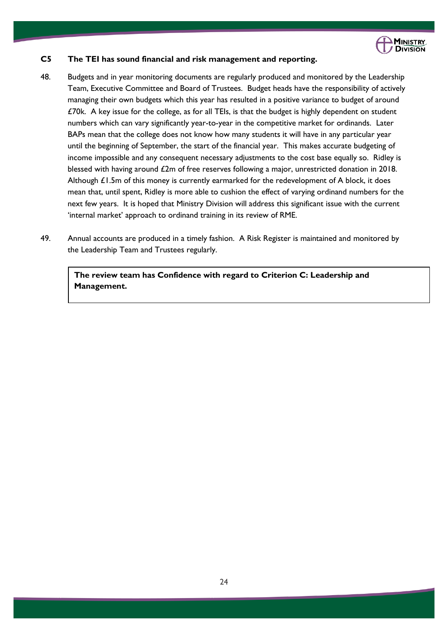

# **C5 The TEI has sound financial and risk management and reporting.**

- 48. Budgets and in year monitoring documents are regularly produced and monitored by the Leadership Team, Executive Committee and Board of Trustees. Budget heads have the responsibility of actively managing their own budgets which this year has resulted in a positive variance to budget of around £70k. A key issue for the college, as for all TEIs, is that the budget is highly dependent on student numbers which can vary significantly year-to-year in the competitive market for ordinands. Later BAPs mean that the college does not know how many students it will have in any particular year until the beginning of September, the start of the financial year. This makes accurate budgeting of income impossible and any consequent necessary adjustments to the cost base equally so. Ridley is blessed with having around £2m of free reserves following a major, unrestricted donation in 2018. Although £1.5m of this money is currently earmarked for the redevelopment of A block, it does mean that, until spent, Ridley is more able to cushion the effect of varying ordinand numbers for the next few years. It is hoped that Ministry Division will address this significant issue with the current 'internal market' approach to ordinand training in its review of RME.
- 49. Annual accounts are produced in a timely fashion. A Risk Register is maintained and monitored by the Leadership Team and Trustees regularly.

**The review team has Confidence with regard to Criterion C: Leadership and Management.**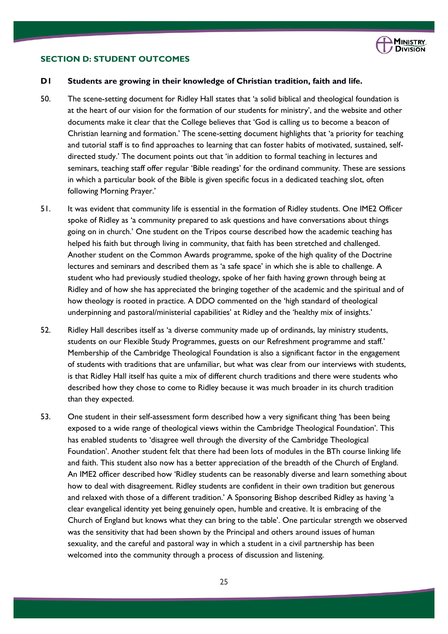

#### **SECTION D: STUDENT OUTCOMES**

# **D1 Students are growing in their knowledge of Christian tradition, faith and life.**

- 50. The scene-setting document for Ridley Hall states that 'a solid biblical and theological foundation is at the heart of our vision for the formation of our students for ministry', and the website and other documents make it clear that the College believes that 'God is calling us to become a beacon of Christian learning and formation.' The scene-setting document highlights that 'a priority for teaching and tutorial staff is to find approaches to learning that can foster habits of motivated, sustained, selfdirected study.' The document points out that 'in addition to formal teaching in lectures and seminars, teaching staff offer regular 'Bible readings' for the ordinand community. These are sessions in which a particular book of the Bible is given specific focus in a dedicated teaching slot, often following Morning Prayer.'
- 51. It was evident that community life is essential in the formation of Ridley students. One IME2 Officer spoke of Ridley as 'a community prepared to ask questions and have conversations about things going on in church.' One student on the Tripos course described how the academic teaching has helped his faith but through living in community, that faith has been stretched and challenged. Another student on the Common Awards programme, spoke of the high quality of the Doctrine lectures and seminars and described them as 'a safe space' in which she is able to challenge. A student who had previously studied theology, spoke of her faith having grown through being at Ridley and of how she has appreciated the bringing together of the academic and the spiritual and of how theology is rooted in practice. A DDO commented on the 'high standard of theological underpinning and pastoral/ministerial capabilities' at Ridley and the 'healthy mix of insights.'
- 52. Ridley Hall describes itself as 'a diverse community made up of ordinands, lay ministry students, students on our Flexible Study Programmes, guests on our Refreshment programme and staff.' Membership of the Cambridge Theological Foundation is also a significant factor in the engagement of students with traditions that are unfamiliar, but what was clear from our interviews with students, is that Ridley Hall itself has quite a mix of different church traditions and there were students who described how they chose to come to Ridley because it was much broader in its church tradition than they expected.
- 53. One student in their self-assessment form described how a very significant thing 'has been being exposed to a wide range of theological views within the Cambridge Theological Foundation'. This has enabled students to 'disagree well through the diversity of the Cambridge Theological Foundation'. Another student felt that there had been lots of modules in the BTh course linking life and faith. This student also now has a better appreciation of the breadth of the Church of England. An IME2 officer described how 'Ridley students can be reasonably diverse and learn something about how to deal with disagreement. Ridley students are confident in their own tradition but generous and relaxed with those of a different tradition.' A Sponsoring Bishop described Ridley as having 'a clear evangelical identity yet being genuinely open, humble and creative. It is embracing of the Church of England but knows what they can bring to the table'. One particular strength we observed was the sensitivity that had been shown by the Principal and others around issues of human sexuality, and the careful and pastoral way in which a student in a civil partnership has been welcomed into the community through a process of discussion and listening.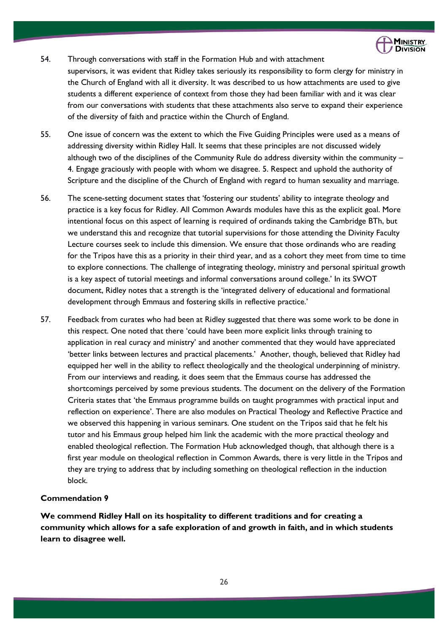

- 54. Through conversations with staff in the Formation Hub and with attachment supervisors, it was evident that Ridley takes seriously its responsibility to form clergy for ministry in the Church of England with all it diversity. It was described to us how attachments are used to give students a different experience of context from those they had been familiar with and it was clear from our conversations with students that these attachments also serve to expand their experience of the diversity of faith and practice within the Church of England.
- 55. One issue of concern was the extent to which the Five Guiding Principles were used as a means of addressing diversity within Ridley Hall. It seems that these principles are not discussed widely although two of the disciplines of the Community Rule do address diversity within the community – 4. Engage graciously with people with whom we disagree. 5. Respect and uphold the authority of Scripture and the discipline of the Church of England with regard to human sexuality and marriage.
- 56. The scene-setting document states that 'fostering our students' ability to integrate theology and practice is a key focus for Ridley. All Common Awards modules have this as the explicit goal. More intentional focus on this aspect of learning is required of ordinands taking the Cambridge BTh, but we understand this and recognize that tutorial supervisions for those attending the Divinity Faculty Lecture courses seek to include this dimension. We ensure that those ordinands who are reading for the Tripos have this as a priority in their third year, and as a cohort they meet from time to time to explore connections. The challenge of integrating theology, ministry and personal spiritual growth is a key aspect of tutorial meetings and informal conversations around college.' In its SWOT document, Ridley notes that a strength is the 'integrated delivery of educational and formational development through Emmaus and fostering skills in reflective practice.'
- 57. Feedback from curates who had been at Ridley suggested that there was some work to be done in this respect. One noted that there 'could have been more explicit links through training to application in real curacy and ministry' and another commented that they would have appreciated 'better links between lectures and practical placements.' Another, though, believed that Ridley had equipped her well in the ability to reflect theologically and the theological underpinning of ministry. From our interviews and reading, it does seem that the Emmaus course has addressed the shortcomings perceived by some previous students. The document on the delivery of the Formation Criteria states that 'the Emmaus programme builds on taught programmes with practical input and reflection on experience'. There are also modules on Practical Theology and Reflective Practice and we observed this happening in various seminars. One student on the Tripos said that he felt his tutor and his Emmaus group helped him link the academic with the more practical theology and enabled theological reflection. The Formation Hub acknowledged though, that although there is a first year module on theological reflection in Common Awards, there is very little in the Tripos and they are trying to address that by including something on theological reflection in the induction block.

# **Commendation 9**

**We commend Ridley Hall on its hospitality to different traditions and for creating a community which allows for a safe exploration of and growth in faith, and in which students learn to disagree well.**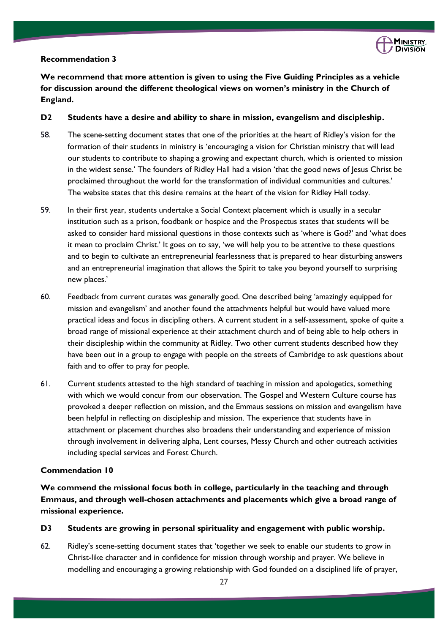

# **Recommendation 3**

**We recommend that more attention is given to using the Five Guiding Principles as a vehicle for discussion around the different theological views on women's ministry in the Church of England.**

# **D2 Students have a desire and ability to share in mission, evangelism and discipleship.**

- 58. The scene-setting document states that one of the priorities at the heart of Ridley's vision for the formation of their students in ministry is 'encouraging a vision for Christian ministry that will lead our students to contribute to shaping a growing and expectant church, which is oriented to mission in the widest sense.' The founders of Ridley Hall had a vision 'that the good news of Jesus Christ be proclaimed throughout the world for the transformation of individual communities and cultures.' The website states that this desire remains at the heart of the vision for Ridley Hall today.
- 59. In their first year, students undertake a Social Context placement which is usually in a secular institution such as a prison, foodbank or hospice and the Prospectus states that students will be asked to consider hard missional questions in those contexts such as 'where is God?' and 'what does it mean to proclaim Christ.' It goes on to say, 'we will help you to be attentive to these questions and to begin to cultivate an entrepreneurial fearlessness that is prepared to hear disturbing answers and an entrepreneurial imagination that allows the Spirit to take you beyond yourself to surprising new places.'
- 60. Feedback from current curates was generally good. One described being 'amazingly equipped for mission and evangelism' and another found the attachments helpful but would have valued more practical ideas and focus in discipling others. A current student in a self-assessment, spoke of quite a broad range of missional experience at their attachment church and of being able to help others in their discipleship within the community at Ridley. Two other current students described how they have been out in a group to engage with people on the streets of Cambridge to ask questions about faith and to offer to pray for people.
- 61. Current students attested to the high standard of teaching in mission and apologetics, something with which we would concur from our observation. The Gospel and Western Culture course has provoked a deeper reflection on mission, and the Emmaus sessions on mission and evangelism have been helpful in reflecting on discipleship and mission. The experience that students have in attachment or placement churches also broadens their understanding and experience of mission through involvement in delivering alpha, Lent courses, Messy Church and other outreach activities including special services and Forest Church.

# **Commendation 10**

**We commend the missional focus both in college, particularly in the teaching and through Emmaus, and through well-chosen attachments and placements which give a broad range of missional experience.**

# **D3 Students are growing in personal spirituality and engagement with public worship.**

62. Ridley's scene-setting document states that 'together we seek to enable our students to grow in Christ-like character and in confidence for mission through worship and prayer. We believe in modelling and encouraging a growing relationship with God founded on a disciplined life of prayer,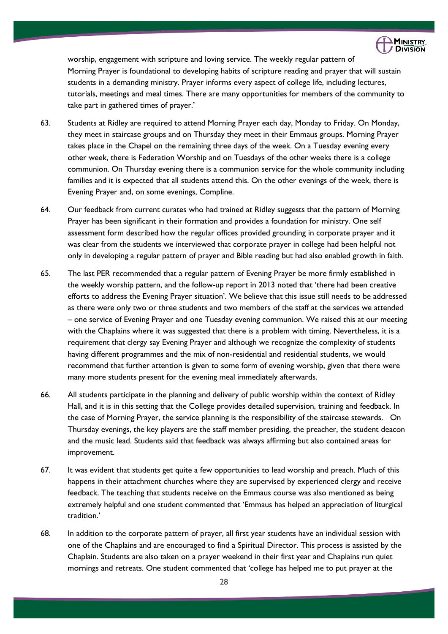

worship, engagement with scripture and loving service. The weekly regular pattern of Morning Prayer is foundational to developing habits of scripture reading and prayer that will sustain students in a demanding ministry. Prayer informs every aspect of college life, including lectures, tutorials, meetings and meal times. There are many opportunities for members of the community to take part in gathered times of prayer.'

- 63. Students at Ridley are required to attend Morning Prayer each day, Monday to Friday. On Monday, they meet in staircase groups and on Thursday they meet in their Emmaus groups. Morning Prayer takes place in the Chapel on the remaining three days of the week. On a Tuesday evening every other week, there is Federation Worship and on Tuesdays of the other weeks there is a college communion. On Thursday evening there is a communion service for the whole community including families and it is expected that all students attend this. On the other evenings of the week, there is Evening Prayer and, on some evenings, Compline.
- 64. Our feedback from current curates who had trained at Ridley suggests that the pattern of Morning Prayer has been significant in their formation and provides a foundation for ministry. One self assessment form described how the regular offices provided grounding in corporate prayer and it was clear from the students we interviewed that corporate prayer in college had been helpful not only in developing a regular pattern of prayer and Bible reading but had also enabled growth in faith.
- 65. The last PER recommended that a regular pattern of Evening Prayer be more firmly established in the weekly worship pattern, and the follow-up report in 2013 noted that 'there had been creative efforts to address the Evening Prayer situation'. We believe that this issue still needs to be addressed as there were only two or three students and two members of the staff at the services we attended – one service of Evening Prayer and one Tuesday evening communion. We raised this at our meeting with the Chaplains where it was suggested that there is a problem with timing. Nevertheless, it is a requirement that clergy say Evening Prayer and although we recognize the complexity of students having different programmes and the mix of non-residential and residential students, we would recommend that further attention is given to some form of evening worship, given that there were many more students present for the evening meal immediately afterwards.
- 66. All students participate in the planning and delivery of public worship within the context of Ridley Hall, and it is in this setting that the College provides detailed supervision, training and feedback. In the case of Morning Prayer, the service planning is the responsibility of the staircase stewards. On Thursday evenings, the key players are the staff member presiding, the preacher, the student deacon and the music lead. Students said that feedback was always affirming but also contained areas for improvement.
- 67. It was evident that students get quite a few opportunities to lead worship and preach. Much of this happens in their attachment churches where they are supervised by experienced clergy and receive feedback. The teaching that students receive on the Emmaus course was also mentioned as being extremely helpful and one student commented that 'Emmaus has helped an appreciation of liturgical tradition.'
- 68. In addition to the corporate pattern of prayer, all first year students have an individual session with one of the Chaplains and are encouraged to find a Spiritual Director. This process is assisted by the Chaplain. Students are also taken on a prayer weekend in their first year and Chaplains run quiet mornings and retreats. One student commented that 'college has helped me to put prayer at the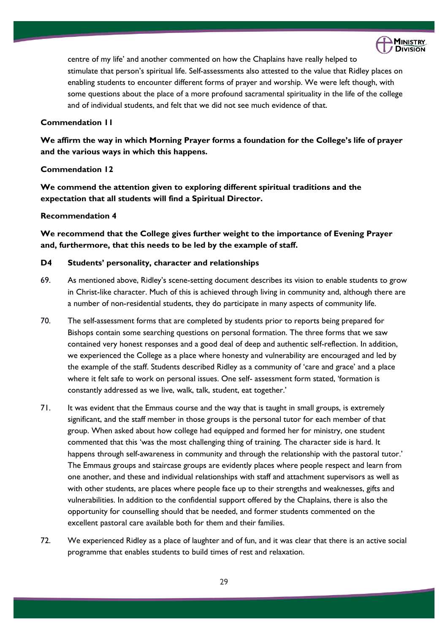

centre of my life' and another commented on how the Chaplains have really helped to stimulate that person's spiritual life. Self-assessments also attested to the value that Ridley places on enabling students to encounter different forms of prayer and worship. We were left though, with some questions about the place of a more profound sacramental spirituality in the life of the college and of individual students, and felt that we did not see much evidence of that.

# **Commendation 11**

**We affirm the way in which Morning Prayer forms a foundation for the College's life of prayer and the various ways in which this happens.**

# **Commendation 12**

**We commend the attention given to exploring different spiritual traditions and the expectation that all students will find a Spiritual Director.**

# **Recommendation 4**

**We recommend that the College gives further weight to the importance of Evening Prayer and, furthermore, that this needs to be led by the example of staff.**

# **D4 Students' personality, character and relationships**

- 69. As mentioned above, Ridley's scene-setting document describes its vision to enable students to grow in Christ-like character. Much of this is achieved through living in community and, although there are a number of non-residential students, they do participate in many aspects of community life.
- 70. The self-assessment forms that are completed by students prior to reports being prepared for Bishops contain some searching questions on personal formation. The three forms that we saw contained very honest responses and a good deal of deep and authentic self-reflection. In addition, we experienced the College as a place where honesty and vulnerability are encouraged and led by the example of the staff. Students described Ridley as a community of 'care and grace' and a place where it felt safe to work on personal issues. One self- assessment form stated, 'formation is constantly addressed as we live, walk, talk, student, eat together.'
- 71. It was evident that the Emmaus course and the way that is taught in small groups, is extremely significant, and the staff member in those groups is the personal tutor for each member of that group. When asked about how college had equipped and formed her for ministry, one student commented that this 'was the most challenging thing of training. The character side is hard. It happens through self-awareness in community and through the relationship with the pastoral tutor.' The Emmaus groups and staircase groups are evidently places where people respect and learn from one another, and these and individual relationships with staff and attachment supervisors as well as with other students, are places where people face up to their strengths and weaknesses, gifts and vulnerabilities. In addition to the confidential support offered by the Chaplains, there is also the opportunity for counselling should that be needed, and former students commented on the excellent pastoral care available both for them and their families.
- 72. We experienced Ridley as a place of laughter and of fun, and it was clear that there is an active social programme that enables students to build times of rest and relaxation.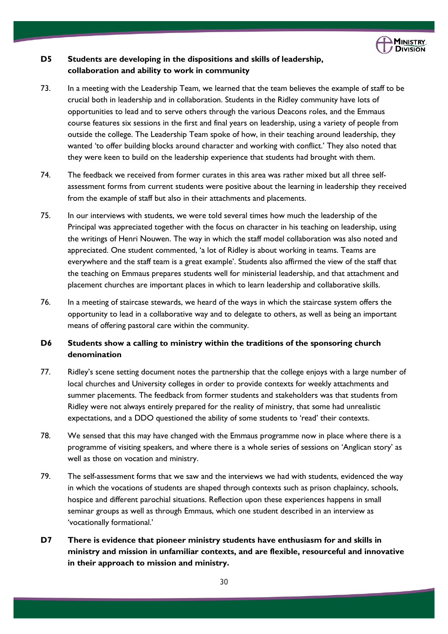

# **D5 Students are developing in the dispositions and skills of leadership, collaboration and ability to work in community**

- 73. In a meeting with the Leadership Team, we learned that the team believes the example of staff to be crucial both in leadership and in collaboration. Students in the Ridley community have lots of opportunities to lead and to serve others through the various Deacons roles, and the Emmaus course features six sessions in the first and final years on leadership, using a variety of people from outside the college. The Leadership Team spoke of how, in their teaching around leadership, they wanted 'to offer building blocks around character and working with conflict.' They also noted that they were keen to build on the leadership experience that students had brought with them.
- 74. The feedback we received from former curates in this area was rather mixed but all three selfassessment forms from current students were positive about the learning in leadership they received from the example of staff but also in their attachments and placements.
- 75. In our interviews with students, we were told several times how much the leadership of the Principal was appreciated together with the focus on character in his teaching on leadership, using the writings of Henri Nouwen. The way in which the staff model collaboration was also noted and appreciated. One student commented, 'a lot of Ridley is about working in teams. Teams are everywhere and the staff team is a great example'. Students also affirmed the view of the staff that the teaching on Emmaus prepares students well for ministerial leadership, and that attachment and placement churches are important places in which to learn leadership and collaborative skills.
- 76. In a meeting of staircase stewards, we heard of the ways in which the staircase system offers the opportunity to lead in a collaborative way and to delegate to others, as well as being an important means of offering pastoral care within the community.

# **D6 Students show a calling to ministry within the traditions of the sponsoring church denomination**

- 77. Ridley's scene setting document notes the partnership that the college enjoys with a large number of local churches and University colleges in order to provide contexts for weekly attachments and summer placements. The feedback from former students and stakeholders was that students from Ridley were not always entirely prepared for the reality of ministry, that some had unrealistic expectations, and a DDO questioned the ability of some students to 'read' their contexts.
- 78. We sensed that this may have changed with the Emmaus programme now in place where there is a programme of visiting speakers, and where there is a whole series of sessions on 'Anglican story' as well as those on vocation and ministry.
- 79. The self-assessment forms that we saw and the interviews we had with students, evidenced the way in which the vocations of students are shaped through contexts such as prison chaplaincy, schools, hospice and different parochial situations. Reflection upon these experiences happens in small seminar groups as well as through Emmaus, which one student described in an interview as 'vocationally formational.'
- **D7 There is evidence that pioneer ministry students have enthusiasm for and skills in ministry and mission in unfamiliar contexts, and are flexible, resourceful and innovative in their approach to mission and ministry.**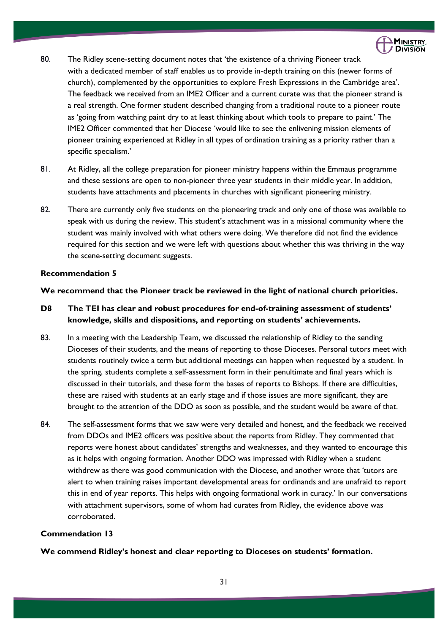

- 80. The Ridley scene-setting document notes that 'the existence of a thriving Pioneer track with a dedicated member of staff enables us to provide in-depth training on this (newer forms of church), complemented by the opportunities to explore Fresh Expressions in the Cambridge area'. The feedback we received from an IME2 Officer and a current curate was that the pioneer strand is a real strength. One former student described changing from a traditional route to a pioneer route as 'going from watching paint dry to at least thinking about which tools to prepare to paint.' The IME2 Officer commented that her Diocese 'would like to see the enlivening mission elements of pioneer training experienced at Ridley in all types of ordination training as a priority rather than a specific specialism.'
- 81. At Ridley, all the college preparation for pioneer ministry happens within the Emmaus programme and these sessions are open to non-pioneer three year students in their middle year. In addition, students have attachments and placements in churches with significant pioneering ministry.
- 82. There are currently only five students on the pioneering track and only one of those was available to speak with us during the review. This student's attachment was in a missional community where the student was mainly involved with what others were doing. We therefore did not find the evidence required for this section and we were left with questions about whether this was thriving in the way the scene-setting document suggests.

#### **Recommendation 5**

# **We recommend that the Pioneer track be reviewed in the light of national church priorities.**

# **D8 The TEI has clear and robust procedures for end-of-training assessment of students' knowledge, skills and dispositions, and reporting on students' achievements.**

- 83. In a meeting with the Leadership Team, we discussed the relationship of Ridley to the sending Dioceses of their students, and the means of reporting to those Dioceses. Personal tutors meet with students routinely twice a term but additional meetings can happen when requested by a student. In the spring, students complete a self-assessment form in their penultimate and final years which is discussed in their tutorials, and these form the bases of reports to Bishops. If there are difficulties, these are raised with students at an early stage and if those issues are more significant, they are brought to the attention of the DDO as soon as possible, and the student would be aware of that.
- 84. The self-assessment forms that we saw were very detailed and honest, and the feedback we received from DDOs and IME2 officers was positive about the reports from Ridley. They commented that reports were honest about candidates' strengths and weaknesses, and they wanted to encourage this as it helps with ongoing formation. Another DDO was impressed with Ridley when a student withdrew as there was good communication with the Diocese, and another wrote that 'tutors are alert to when training raises important developmental areas for ordinands and are unafraid to report this in end of year reports. This helps with ongoing formational work in curacy.' In our conversations with attachment supervisors, some of whom had curates from Ridley, the evidence above was corroborated.

# **Commendation 13**

**We commend Ridley's honest and clear reporting to Dioceses on students' formation.**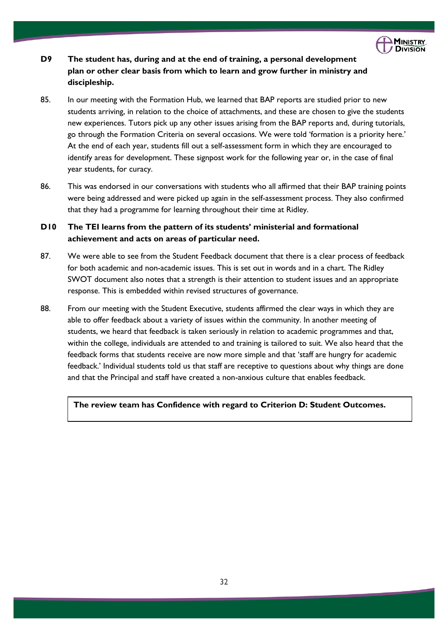

# **D9 The student has, during and at the end of training, a personal development plan or other clear basis from which to learn and grow further in ministry and discipleship.**

- 85. In our meeting with the Formation Hub, we learned that BAP reports are studied prior to new students arriving, in relation to the choice of attachments, and these are chosen to give the students new experiences. Tutors pick up any other issues arising from the BAP reports and, during tutorials, go through the Formation Criteria on several occasions. We were told 'formation is a priority here.' At the end of each year, students fill out a self-assessment form in which they are encouraged to identify areas for development. These signpost work for the following year or, in the case of final year students, for curacy.
- 86. This was endorsed in our conversations with students who all affirmed that their BAP training points were being addressed and were picked up again in the self-assessment process. They also confirmed that they had a programme for learning throughout their time at Ridley.

# **D10 The TEI learns from the pattern of its students' ministerial and formational achievement and acts on areas of particular need.**

- 87. We were able to see from the Student Feedback document that there is a clear process of feedback for both academic and non-academic issues. This is set out in words and in a chart. The Ridley SWOT document also notes that a strength is their attention to student issues and an appropriate response. This is embedded within revised structures of governance.
- 88. From our meeting with the Student Executive, students affirmed the clear ways in which they are able to offer feedback about a variety of issues within the community. In another meeting of students, we heard that feedback is taken seriously in relation to academic programmes and that, within the college, individuals are attended to and training is tailored to suit. We also heard that the feedback forms that students receive are now more simple and that 'staff are hungry for academic feedback.' Individual students told us that staff are receptive to questions about why things are done and that the Principal and staff have created a non-anxious culture that enables feedback.

# **The review team has Confidence with regard to Criterion D: Student Outcomes.**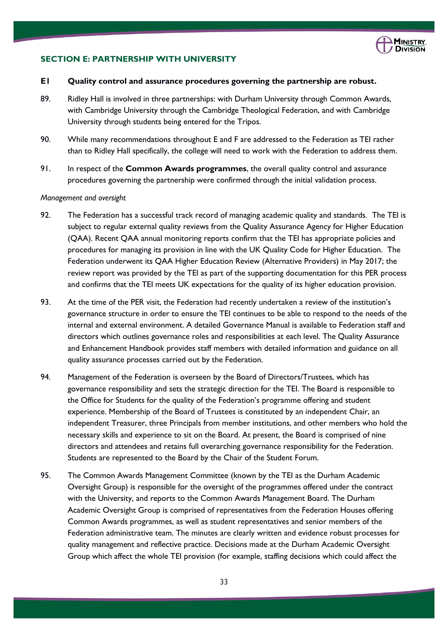

# **SECTION E: PARTNERSHIP WITH UNIVERSITY**

#### **E1 Quality control and assurance procedures governing the partnership are robust.**

- 89. Ridley Hall is involved in three partnerships: with Durham University through Common Awards, with Cambridge University through the Cambridge Theological Federation, and with Cambridge University through students being entered for the Tripos.
- 90. While many recommendations throughout E and F are addressed to the Federation as TEI rather than to Ridley Hall specifically, the college will need to work with the Federation to address them.
- 91. In respect of the **Common Awards programmes**, the overall quality control and assurance procedures governing the partnership were confirmed through the initial validation process.

#### *Management and oversight*

- 92. The Federation has a successful track record of managing academic quality and standards. The TEI is subject to regular external quality reviews from the Quality Assurance Agency for Higher Education (QAA). Recent QAA annual monitoring reports confirm that the TEI has appropriate policies and procedures for managing its provision in line with the UK Quality Code for Higher Education. The Federation underwent its QAA Higher Education Review (Alternative Providers) in May 2017; the review report was provided by the TEI as part of the supporting documentation for this PER process and confirms that the TEI meets UK expectations for the quality of its higher education provision.
- 93. At the time of the PER visit, the Federation had recently undertaken a review of the institution's governance structure in order to ensure the TEI continues to be able to respond to the needs of the internal and external environment. A detailed Governance Manual is available to Federation staff and directors which outlines governance roles and responsibilities at each level. The Quality Assurance and Enhancement Handbook provides staff members with detailed information and guidance on all quality assurance processes carried out by the Federation.
- 94. Management of the Federation is overseen by the Board of Directors/Trustees, which has governance responsibility and sets the strategic direction for the TEI. The Board is responsible to the Office for Students for the quality of the Federation's programme offering and student experience. Membership of the Board of Trustees is constituted by an independent Chair, an independent Treasurer, three Principals from member institutions, and other members who hold the necessary skills and experience to sit on the Board. At present, the Board is comprised of nine directors and attendees and retains full overarching governance responsibility for the Federation. Students are represented to the Board by the Chair of the Student Forum.
- 95. The Common Awards Management Committee (known by the TEI as the Durham Academic Oversight Group) is responsible for the oversight of the programmes offered under the contract with the University, and reports to the Common Awards Management Board. The Durham Academic Oversight Group is comprised of representatives from the Federation Houses offering Common Awards programmes, as well as student representatives and senior members of the Federation administrative team. The minutes are clearly written and evidence robust processes for quality management and reflective practice. Decisions made at the Durham Academic Oversight Group which affect the whole TEI provision (for example, staffing decisions which could affect the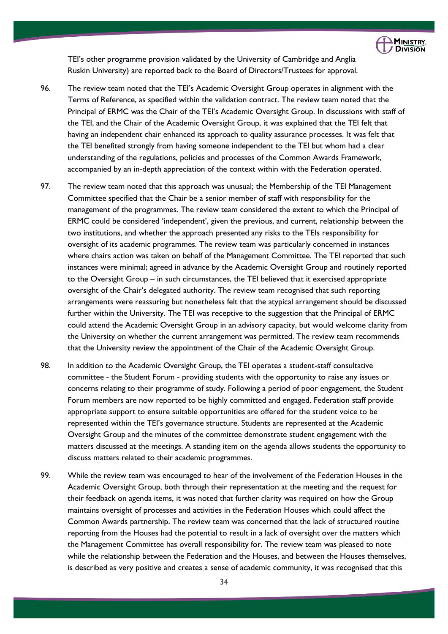

TEI's other programme provision validated by the University of Cambridge and Anglia Ruskin University) are reported back to the Board of Directors/Trustees for approval.

- 96. The review team noted that the TEI's Academic Oversight Group operates in alignment with the Terms of Reference, as specified within the validation contract. The review team noted that the Principal of ERMC was the Chair of the TEI's Academic Oversight Group. In discussions with staff of the TEI, and the Chair of the Academic Oversight Group, it was explained that the TEI felt that having an independent chair enhanced its approach to quality assurance processes. It was felt that the TEI benefited strongly from having someone independent to the TEI but whom had a clear understanding of the regulations, policies and processes of the Common Awards Framework, accompanied by an in-depth appreciation of the context within with the Federation operated.
- 97. The review team noted that this approach was unusual; the Membership of the TEI Management Committee specified that the Chair be a senior member of staff with responsibility for the management of the programmes. The review team considered the extent to which the Principal of ERMC could be considered 'independent', given the previous, and current, relationship between the two institutions, and whether the approach presented any risks to the TEIs responsibility for oversight of its academic programmes. The review team was particularly concerned in instances where chairs action was taken on behalf of the Management Committee. The TEI reported that such instances were minimal; agreed in advance by the Academic Oversight Group and routinely reported to the Oversight Group – in such circumstances, the TEI believed that it exercised appropriate oversight of the Chair's delegated authority. The review team recognised that such reporting arrangements were reassuring but nonetheless felt that the atypical arrangement should be discussed further within the University. The TEI was receptive to the suggestion that the Principal of ERMC could attend the Academic Oversight Group in an advisory capacity, but would welcome clarity from the University on whether the current arrangement was permitted. The review team recommends that the University review the appointment of the Chair of the Academic Oversight Group.
- 98. In addition to the Academic Oversight Group, the TEI operates a student-staff consultative committee - the Student Forum - providing students with the opportunity to raise any issues or concerns relating to their programme of study. Following a period of poor engagement, the Student Forum members are now reported to be highly committed and engaged. Federation staff provide appropriate support to ensure suitable opportunities are offered for the student voice to be represented within the TEI's governance structure. Students are represented at the Academic Oversight Group and the minutes of the committee demonstrate student engagement with the matters discussed at the meetings. A standing item on the agenda allows students the opportunity to discuss matters related to their academic programmes.
- 99. While the review team was encouraged to hear of the involvement of the Federation Houses in the Academic Oversight Group, both through their representation at the meeting and the request for their feedback on agenda items, it was noted that further clarity was required on how the Group maintains oversight of processes and activities in the Federation Houses which could affect the Common Awards partnership. The review team was concerned that the lack of structured routine reporting from the Houses had the potential to result in a lack of oversight over the matters which the Management Committee has overall responsibility for. The review team was pleased to note while the relationship between the Federation and the Houses, and between the Houses themselves, is described as very positive and creates a sense of academic community, it was recognised that this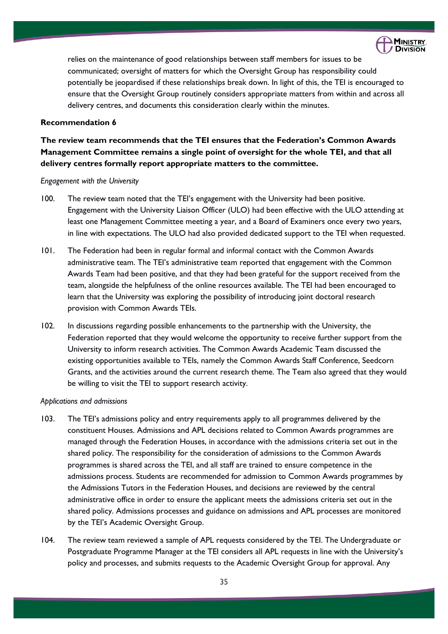

relies on the maintenance of good relationships between staff members for issues to be communicated; oversight of matters for which the Oversight Group has responsibility could potentially be jeopardised if these relationships break down. In light of this, the TEI is encouraged to ensure that the Oversight Group routinely considers appropriate matters from within and across all delivery centres, and documents this consideration clearly within the minutes.

# **Recommendation 6**

**The review team recommends that the TEI ensures that the Federation's Common Awards Management Committee remains a single point of oversight for the whole TEI, and that all delivery centres formally report appropriate matters to the committee.**

#### *Engagement with the University*

- 100. The review team noted that the TEI's engagement with the University had been positive. Engagement with the University Liaison Officer (ULO) had been effective with the ULO attending at least one Management Committee meeting a year, and a Board of Examiners once every two years, in line with expectations. The ULO had also provided dedicated support to the TEI when requested.
- 101. The Federation had been in regular formal and informal contact with the Common Awards administrative team. The TEI's administrative team reported that engagement with the Common Awards Team had been positive, and that they had been grateful for the support received from the team, alongside the helpfulness of the online resources available. The TEI had been encouraged to learn that the University was exploring the possibility of introducing joint doctoral research provision with Common Awards TEIs.
- 102. In discussions regarding possible enhancements to the partnership with the University, the Federation reported that they would welcome the opportunity to receive further support from the University to inform research activities. The Common Awards Academic Team discussed the existing opportunities available to TEIs, namely the Common Awards Staff Conference, Seedcorn Grants, and the activities around the current research theme. The Team also agreed that they would be willing to visit the TEI to support research activity.

#### *Applications and admissions*

- 103. The TEI's admissions policy and entry requirements apply to all programmes delivered by the constituent Houses. Admissions and APL decisions related to Common Awards programmes are managed through the Federation Houses, in accordance with the admissions criteria set out in the shared policy. The responsibility for the consideration of admissions to the Common Awards programmes is shared across the TEI, and all staff are trained to ensure competence in the admissions process. Students are recommended for admission to Common Awards programmes by the Admissions Tutors in the Federation Houses, and decisions are reviewed by the central administrative office in order to ensure the applicant meets the admissions criteria set out in the shared policy. Admissions processes and guidance on admissions and APL processes are monitored by the TEI's Academic Oversight Group.
- 104. The review team reviewed a sample of APL requests considered by the TEI. The Undergraduate or Postgraduate Programme Manager at the TEI considers all APL requests in line with the University's policy and processes, and submits requests to the Academic Oversight Group for approval. Any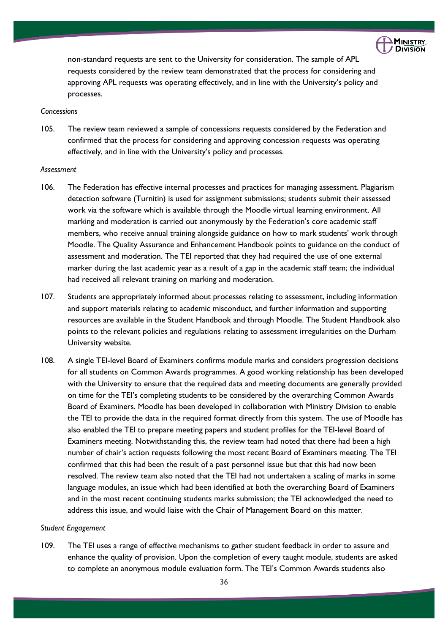

non-standard requests are sent to the University for consideration. The sample of APL requests considered by the review team demonstrated that the process for considering and approving APL requests was operating effectively, and in line with the University's policy and processes.

### *Concessions*

105. The review team reviewed a sample of concessions requests considered by the Federation and confirmed that the process for considering and approving concession requests was operating effectively, and in line with the University's policy and processes.

#### *Assessment*

- 106. The Federation has effective internal processes and practices for managing assessment. Plagiarism detection software (Turnitin) is used for assignment submissions; students submit their assessed work via the software which is available through the Moodle virtual learning environment. All marking and moderation is carried out anonymously by the Federation's core academic staff members, who receive annual training alongside guidance on how to mark students' work through Moodle. The Quality Assurance and Enhancement Handbook points to guidance on the conduct of assessment and moderation. The TEI reported that they had required the use of one external marker during the last academic year as a result of a gap in the academic staff team; the individual had received all relevant training on marking and moderation.
- 107. Students are appropriately informed about processes relating to assessment, including information and support materials relating to academic misconduct, and further information and supporting resources are available in the Student Handbook and through Moodle. The Student Handbook also points to the relevant policies and regulations relating to assessment irregularities on the Durham University website.
- 108. A single TEI-level Board of Examiners confirms module marks and considers progression decisions for all students on Common Awards programmes. A good working relationship has been developed with the University to ensure that the required data and meeting documents are generally provided on time for the TEI's completing students to be considered by the overarching Common Awards Board of Examiners. Moodle has been developed in collaboration with Ministry Division to enable the TEI to provide the data in the required format directly from this system. The use of Moodle has also enabled the TEI to prepare meeting papers and student profiles for the TEI-level Board of Examiners meeting. Notwithstanding this, the review team had noted that there had been a high number of chair's action requests following the most recent Board of Examiners meeting. The TEI confirmed that this had been the result of a past personnel issue but that this had now been resolved. The review team also noted that the TEI had not undertaken a scaling of marks in some language modules, an issue which had been identified at both the overarching Board of Examiners and in the most recent continuing students marks submission; the TEI acknowledged the need to address this issue, and would liaise with the Chair of Management Board on this matter.

#### *Student Engagement*

109. The TEI uses a range of effective mechanisms to gather student feedback in order to assure and enhance the quality of provision. Upon the completion of every taught module, students are asked to complete an anonymous module evaluation form. The TEI's Common Awards students also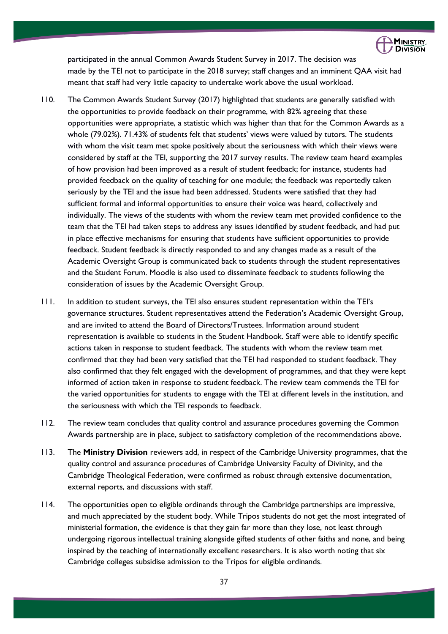

participated in the annual Common Awards Student Survey in 2017. The decision was made by the TEI not to participate in the 2018 survey; staff changes and an imminent QAA visit had meant that staff had very little capacity to undertake work above the usual workload.

- 110. The Common Awards Student Survey (2017) highlighted that students are generally satisfied with the opportunities to provide feedback on their programme, with 82% agreeing that these opportunities were appropriate, a statistic which was higher than that for the Common Awards as a whole (79.02%). 71.43% of students felt that students' views were valued by tutors. The students with whom the visit team met spoke positively about the seriousness with which their views were considered by staff at the TEI, supporting the 2017 survey results. The review team heard examples of how provision had been improved as a result of student feedback; for instance, students had provided feedback on the quality of teaching for one module; the feedback was reportedly taken seriously by the TEI and the issue had been addressed. Students were satisfied that they had sufficient formal and informal opportunities to ensure their voice was heard, collectively and individually. The views of the students with whom the review team met provided confidence to the team that the TEI had taken steps to address any issues identified by student feedback, and had put in place effective mechanisms for ensuring that students have sufficient opportunities to provide feedback. Student feedback is directly responded to and any changes made as a result of the Academic Oversight Group is communicated back to students through the student representatives and the Student Forum. Moodle is also used to disseminate feedback to students following the consideration of issues by the Academic Oversight Group.
- 111. In addition to student surveys, the TEI also ensures student representation within the TEI's governance structures. Student representatives attend the Federation's Academic Oversight Group, and are invited to attend the Board of Directors/Trustees. Information around student representation is available to students in the Student Handbook. Staff were able to identify specific actions taken in response to student feedback. The students with whom the review team met confirmed that they had been very satisfied that the TEI had responded to student feedback. They also confirmed that they felt engaged with the development of programmes, and that they were kept informed of action taken in response to student feedback. The review team commends the TEI for the varied opportunities for students to engage with the TEI at different levels in the institution, and the seriousness with which the TEI responds to feedback.
- 112. The review team concludes that quality control and assurance procedures governing the Common Awards partnership are in place, subject to satisfactory completion of the recommendations above.
- 113. The **Ministry Division** reviewers add, in respect of the Cambridge University programmes, that the quality control and assurance procedures of Cambridge University Faculty of Divinity, and the Cambridge Theological Federation, were confirmed as robust through extensive documentation, external reports, and discussions with staff.
- 114. The opportunities open to eligible ordinands through the Cambridge partnerships are impressive, and much appreciated by the student body. While Tripos students do not get the most integrated of ministerial formation, the evidence is that they gain far more than they lose, not least through undergoing rigorous intellectual training alongside gifted students of other faiths and none, and being inspired by the teaching of internationally excellent researchers. It is also worth noting that six Cambridge colleges subsidise admission to the Tripos for eligible ordinands.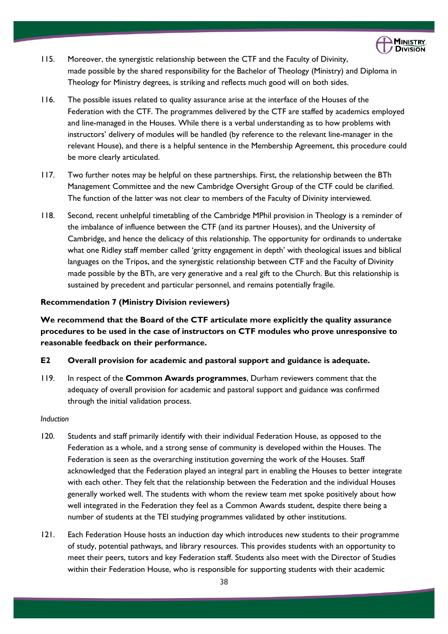

- 115. Moreover, the synergistic relationship between the CTF and the Faculty of Divinity, made possible by the shared responsibility for the Bachelor of Theology (Ministry) and Diploma in Theology for Ministry degrees, is striking and reflects much good will on both sides.
- 116. The possible issues related to quality assurance arise at the interface of the Houses of the Federation with the CTF. The programmes delivered by the CTF are staffed by academics employed and line-managed in the Houses. While there is a verbal understanding as to how problems with instructors' delivery of modules will be handled (by reference to the relevant line-manager in the relevant House), and there is a helpful sentence in the Membership Agreement, this procedure could be more clearly articulated.
- 117. Two further notes may be helpful on these partnerships. First, the relationship between the BTh Management Committee and the new Cambridge Oversight Group of the CTF could be clarified. The function of the latter was not clear to members of the Faculty of Divinity interviewed.
- 118. Second, recent unhelpful timetabling of the Cambridge MPhil provision in Theology is a reminder of the imbalance of influence between the CTF (and its partner Houses), and the University of Cambridge, and hence the delicacy of this relationship. The opportunity for ordinands to undertake what one Ridley staff member called 'gritty engagement in depth' with theological issues and biblical languages on the Tripos, and the synergistic relationship between CTF and the Faculty of Divinity made possible by the BTh, are very generative and a real gift to the Church. But this relationship is sustained by precedent and particular personnel, and remains potentially fragile.

# **Recommendation 7 (Ministry Division reviewers)**

**We recommend that the Board of the CTF articulate more explicitly the quality assurance procedures to be used in the case of instructors on CTF modules who prove unresponsive to reasonable feedback on their performance.**

### **E2 Overall provision for academic and pastoral support and guidance is adequate.**

119. In respect of the **Common Awards programmes**, Durham reviewers comment that the adequacy of overall provision for academic and pastoral support and guidance was confirmed through the initial validation process.

#### *Induction*

- 120. Students and staff primarily identify with their individual Federation House, as opposed to the Federation as a whole, and a strong sense of community is developed within the Houses. The Federation is seen as the overarching institution governing the work of the Houses. Staff acknowledged that the Federation played an integral part in enabling the Houses to better integrate with each other. They felt that the relationship between the Federation and the individual Houses generally worked well. The students with whom the review team met spoke positively about how well integrated in the Federation they feel as a Common Awards student, despite there being a number of students at the TEI studying programmes validated by other institutions.
- 121. Each Federation House hosts an induction day which introduces new students to their programme of study, potential pathways, and library resources. This provides students with an opportunity to meet their peers, tutors and key Federation staff. Students also meet with the Director of Studies within their Federation House, who is responsible for supporting students with their academic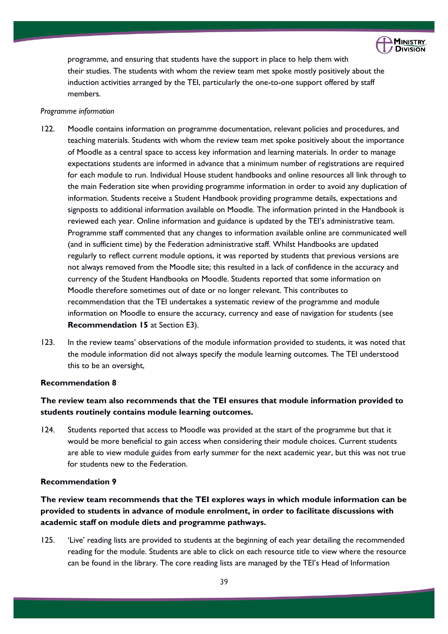

programme, and ensuring that students have the support in place to help them with their studies. The students with whom the review team met spoke mostly positively about the induction activities arranged by the TEI, particularly the one-to-one support offered by staff members.

#### *Programme information*

- 122. Moodle contains information on programme documentation, relevant policies and procedures, and teaching materials. Students with whom the review team met spoke positively about the importance of Moodle as a central space to access key information and learning materials. In order to manage expectations students are informed in advance that a minimum number of registrations are required for each module to run. Individual House student handbooks and online resources all link through to the main Federation site when providing programme information in order to avoid any duplication of information. Students receive a Student Handbook providing programme details, expectations and signposts to additional information available on Moodle. The information printed in the Handbook is reviewed each year. Online information and guidance is updated by the TEI's administrative team. Programme staff commented that any changes to information available online are communicated well (and in sufficient time) by the Federation administrative staff. Whilst Handbooks are updated regularly to reflect current module options, it was reported by students that previous versions are not always removed from the Moodle site; this resulted in a lack of confidence in the accuracy and currency of the Student Handbooks on Moodle. Students reported that some information on Moodle therefore sometimes out of date or no longer relevant. This contributes to recommendation that the TEI undertakes a systematic review of the programme and module information on Moodle to ensure the accuracy, currency and ease of navigation for students (see **Recommendation 15** at Section E3).
- 123. In the review teams' observations of the module information provided to students, it was noted that the module information did not always specify the module learning outcomes. The TEI understood this to be an oversight,

### **Recommendation 8**

# **The review team also recommends that the TEI ensures that module information provided to students routinely contains module learning outcomes.**

124. Students reported that access to Moodle was provided at the start of the programme but that it would be more beneficial to gain access when considering their module choices. Current students are able to view module guides from early summer for the next academic year, but this was not true for students new to the Federation.

#### **Recommendation 9**

**The review team recommends that the TEI explores ways in which module information can be provided to students in advance of module enrolment, in order to facilitate discussions with academic staff on module diets and programme pathways.**

125. 'Live' reading lists are provided to students at the beginning of each year detailing the recommended reading for the module. Students are able to click on each resource title to view where the resource can be found in the library. The core reading lists are managed by the TEI's Head of Information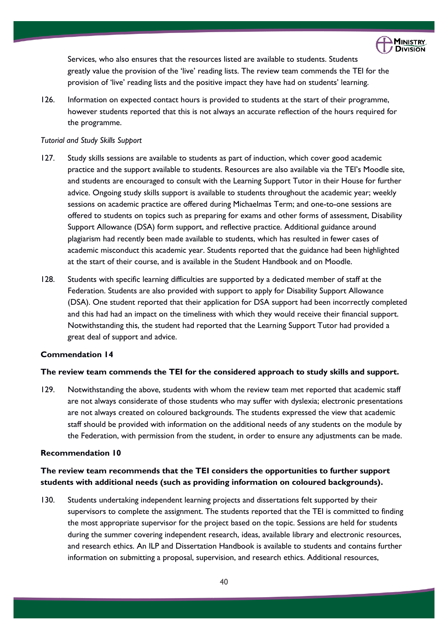

Services, who also ensures that the resources listed are available to students. Students greatly value the provision of the 'live' reading lists. The review team commends the TEI for the provision of 'live' reading lists and the positive impact they have had on students' learning.

126. Information on expected contact hours is provided to students at the start of their programme, however students reported that this is not always an accurate reflection of the hours required for the programme.

#### *Tutorial and Study Skills Support*

- 127. Study skills sessions are available to students as part of induction, which cover good academic practice and the support available to students. Resources are also available via the TEI's Moodle site, and students are encouraged to consult with the Learning Support Tutor in their House for further advice. Ongoing study skills support is available to students throughout the academic year; weekly sessions on academic practice are offered during Michaelmas Term; and one-to-one sessions are offered to students on topics such as preparing for exams and other forms of assessment, Disability Support Allowance (DSA) form support, and reflective practice. Additional guidance around plagiarism had recently been made available to students, which has resulted in fewer cases of academic misconduct this academic year. Students reported that the guidance had been highlighted at the start of their course, and is available in the Student Handbook and on Moodle.
- 128. Students with specific learning difficulties are supported by a dedicated member of staff at the Federation. Students are also provided with support to apply for Disability Support Allowance (DSA). One student reported that their application for DSA support had been incorrectly completed and this had had an impact on the timeliness with which they would receive their financial support. Notwithstanding this, the student had reported that the Learning Support Tutor had provided a great deal of support and advice.

# **Commendation 14**

#### **The review team commends the TEI for the considered approach to study skills and support.**

129. Notwithstanding the above, students with whom the review team met reported that academic staff are not always considerate of those students who may suffer with dyslexia; electronic presentations are not always created on coloured backgrounds. The students expressed the view that academic staff should be provided with information on the additional needs of any students on the module by the Federation, with permission from the student, in order to ensure any adjustments can be made.

# **Recommendation 10**

# **The review team recommends that the TEI considers the opportunities to further support students with additional needs (such as providing information on coloured backgrounds).**

130. Students undertaking independent learning projects and dissertations felt supported by their supervisors to complete the assignment. The students reported that the TEI is committed to finding the most appropriate supervisor for the project based on the topic. Sessions are held for students during the summer covering independent research, ideas, available library and electronic resources, and research ethics. An ILP and Dissertation Handbook is available to students and contains further information on submitting a proposal, supervision, and research ethics. Additional resources,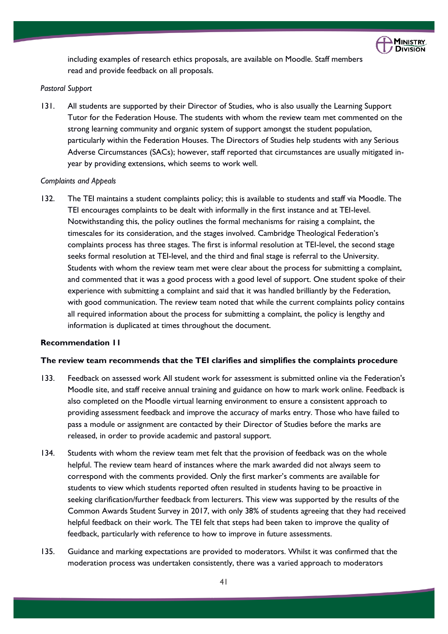

including examples of research ethics proposals, are available on Moodle. Staff members read and provide feedback on all proposals.

### *Pastoral Support*

131. All students are supported by their Director of Studies, who is also usually the Learning Support Tutor for the Federation House. The students with whom the review team met commented on the strong learning community and organic system of support amongst the student population, particularly within the Federation Houses. The Directors of Studies help students with any Serious Adverse Circumstances (SACs); however, staff reported that circumstances are usually mitigated inyear by providing extensions, which seems to work well.

#### *Complaints and Appeals*

132. The TEI maintains a student complaints policy; this is available to students and staff via Moodle. The TEI encourages complaints to be dealt with informally in the first instance and at TEI-level. Notwithstanding this, the policy outlines the formal mechanisms for raising a complaint, the timescales for its consideration, and the stages involved. Cambridge Theological Federation's complaints process has three stages. The first is informal resolution at TEI-level, the second stage seeks formal resolution at TEI-level, and the third and final stage is referral to the University. Students with whom the review team met were clear about the process for submitting a complaint, and commented that it was a good process with a good level of support. One student spoke of their experience with submitting a complaint and said that it was handled brilliantly by the Federation, with good communication. The review team noted that while the current complaints policy contains all required information about the process for submitting a complaint, the policy is lengthy and information is duplicated at times throughout the document.

#### **Recommendation 11**

### **The review team recommends that the TEI clarifies and simplifies the complaints procedure**

- 133. Feedback on assessed work All student work for assessment is submitted online via the Federation's Moodle site, and staff receive annual training and guidance on how to mark work online. Feedback is also completed on the Moodle virtual learning environment to ensure a consistent approach to providing assessment feedback and improve the accuracy of marks entry. Those who have failed to pass a module or assignment are contacted by their Director of Studies before the marks are released, in order to provide academic and pastoral support.
- 134. Students with whom the review team met felt that the provision of feedback was on the whole helpful. The review team heard of instances where the mark awarded did not always seem to correspond with the comments provided. Only the first marker's comments are available for students to view which students reported often resulted in students having to be proactive in seeking clarification/further feedback from lecturers. This view was supported by the results of the Common Awards Student Survey in 2017, with only 38% of students agreeing that they had received helpful feedback on their work. The TEI felt that steps had been taken to improve the quality of feedback, particularly with reference to how to improve in future assessments.
- 135. Guidance and marking expectations are provided to moderators. Whilst it was confirmed that the moderation process was undertaken consistently, there was a varied approach to moderators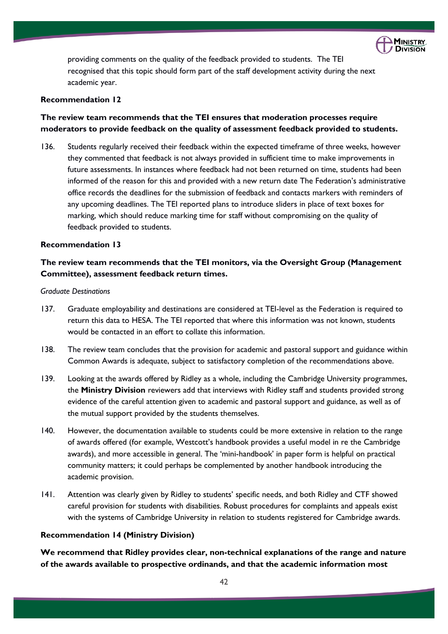

providing comments on the quality of the feedback provided to students. The TEI recognised that this topic should form part of the staff development activity during the next academic year.

### **Recommendation 12**

# **The review team recommends that the TEI ensures that moderation processes require moderators to provide feedback on the quality of assessment feedback provided to students.**

136. Students regularly received their feedback within the expected timeframe of three weeks, however they commented that feedback is not always provided in sufficient time to make improvements in future assessments. In instances where feedback had not been returned on time, students had been informed of the reason for this and provided with a new return date The Federation's administrative office records the deadlines for the submission of feedback and contacts markers with reminders of any upcoming deadlines. The TEI reported plans to introduce sliders in place of text boxes for marking, which should reduce marking time for staff without compromising on the quality of feedback provided to students.

# **Recommendation 13**

# **The review team recommends that the TEI monitors, via the Oversight Group (Management Committee), assessment feedback return times.**

#### *Graduate Destinations*

- 137. Graduate employability and destinations are considered at TEI-level as the Federation is required to return this data to HESA. The TEI reported that where this information was not known, students would be contacted in an effort to collate this information.
- 138. The review team concludes that the provision for academic and pastoral support and guidance within Common Awards is adequate, subject to satisfactory completion of the recommendations above.
- 139. Looking at the awards offered by Ridley as a whole, including the Cambridge University programmes, the **Ministry Division** reviewers add that interviews with Ridley staff and students provided strong evidence of the careful attention given to academic and pastoral support and guidance, as well as of the mutual support provided by the students themselves.
- 140. However, the documentation available to students could be more extensive in relation to the range of awards offered (for example, Westcott's handbook provides a useful model in re the Cambridge awards), and more accessible in general. The 'mini-handbook' in paper form is helpful on practical community matters; it could perhaps be complemented by another handbook introducing the academic provision.
- 141. Attention was clearly given by Ridley to students' specific needs, and both Ridley and CTF showed careful provision for students with disabilities. Robust procedures for complaints and appeals exist with the systems of Cambridge University in relation to students registered for Cambridge awards.

# **Recommendation 14 (Ministry Division)**

**We recommend that Ridley provides clear, non-technical explanations of the range and nature of the awards available to prospective ordinands, and that the academic information most**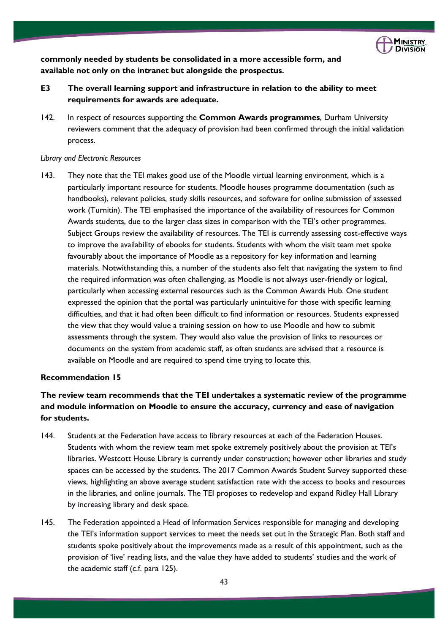

**commonly needed by students be consolidated in a more accessible form, and available not only on the intranet but alongside the prospectus.**

- **E3 The overall learning support and infrastructure in relation to the ability to meet requirements for awards are adequate.**
- 142. In respect of resources supporting the **Common Awards programmes**, Durham University reviewers comment that the adequacy of provision had been confirmed through the initial validation process.

#### *Library and Electronic Resources*

143. They note that the TEI makes good use of the Moodle virtual learning environment, which is a particularly important resource for students. Moodle houses programme documentation (such as handbooks), relevant policies, study skills resources, and software for online submission of assessed work (Turnitin). The TEI emphasised the importance of the availability of resources for Common Awards students, due to the larger class sizes in comparison with the TEI's other programmes. Subject Groups review the availability of resources. The TEI is currently assessing cost-effective ways to improve the availability of ebooks for students. Students with whom the visit team met spoke favourably about the importance of Moodle as a repository for key information and learning materials. Notwithstanding this, a number of the students also felt that navigating the system to find the required information was often challenging, as Moodle is not always user-friendly or logical, particularly when accessing external resources such as the Common Awards Hub. One student expressed the opinion that the portal was particularly unintuitive for those with specific learning difficulties, and that it had often been difficult to find information or resources. Students expressed the view that they would value a training session on how to use Moodle and how to submit assessments through the system. They would also value the provision of links to resources or documents on the system from academic staff, as often students are advised that a resource is available on Moodle and are required to spend time trying to locate this.

# **Recommendation 15**

# **The review team recommends that the TEI undertakes a systematic review of the programme and module information on Moodle to ensure the accuracy, currency and ease of navigation for students.**

- 144. Students at the Federation have access to library resources at each of the Federation Houses. Students with whom the review team met spoke extremely positively about the provision at TEI's libraries. Westcott House Library is currently under construction; however other libraries and study spaces can be accessed by the students. The 2017 Common Awards Student Survey supported these views, highlighting an above average student satisfaction rate with the access to books and resources in the libraries, and online journals. The TEI proposes to redevelop and expand Ridley Hall Library by increasing library and desk space.
- 145. The Federation appointed a Head of Information Services responsible for managing and developing the TEI's information support services to meet the needs set out in the Strategic Plan. Both staff and students spoke positively about the improvements made as a result of this appointment, such as the provision of 'live' reading lists, and the value they have added to students' studies and the work of the academic staff (c.f. para 125).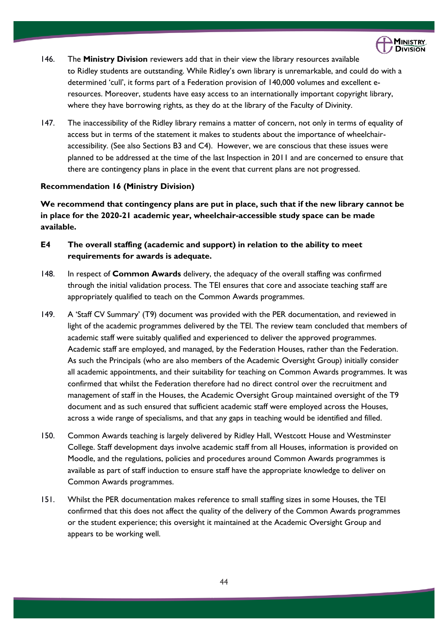

- 146. The **Ministry Division** reviewers add that in their view the library resources available to Ridley students are outstanding. While Ridley's own library is unremarkable, and could do with a determined 'cull', it forms part of a Federation provision of 140,000 volumes and excellent eresources. Moreover, students have easy access to an internationally important copyright library, where they have borrowing rights, as they do at the library of the Faculty of Divinity.
- 147. The inaccessibility of the Ridley library remains a matter of concern, not only in terms of equality of access but in terms of the statement it makes to students about the importance of wheelchairaccessibility. (See also Sections B3 and C4). However, we are conscious that these issues were planned to be addressed at the time of the last Inspection in 2011 and are concerned to ensure that there are contingency plans in place in the event that current plans are not progressed.

# **Recommendation 16 (Ministry Division)**

**We recommend that contingency plans are put in place, such that if the new library cannot be in place for the 2020-21 academic year, wheelchair-accessible study space can be made available.**

- **E4 The overall staffing (academic and support) in relation to the ability to meet requirements for awards is adequate.**
- 148. In respect of **Common Awards** delivery, the adequacy of the overall staffing was confirmed through the initial validation process. The TEI ensures that core and associate teaching staff are appropriately qualified to teach on the Common Awards programmes.
- 149. A 'Staff CV Summary' (T9) document was provided with the PER documentation, and reviewed in light of the academic programmes delivered by the TEI. The review team concluded that members of academic staff were suitably qualified and experienced to deliver the approved programmes. Academic staff are employed, and managed, by the Federation Houses, rather than the Federation. As such the Principals (who are also members of the Academic Oversight Group) initially consider all academic appointments, and their suitability for teaching on Common Awards programmes. It was confirmed that whilst the Federation therefore had no direct control over the recruitment and management of staff in the Houses, the Academic Oversight Group maintained oversight of the T9 document and as such ensured that sufficient academic staff were employed across the Houses, across a wide range of specialisms, and that any gaps in teaching would be identified and filled.
- 150. Common Awards teaching is largely delivered by Ridley Hall, Westcott House and Westminster College. Staff development days involve academic staff from all Houses, information is provided on Moodle, and the regulations, policies and procedures around Common Awards programmes is available as part of staff induction to ensure staff have the appropriate knowledge to deliver on Common Awards programmes.
- 151. Whilst the PER documentation makes reference to small staffing sizes in some Houses, the TEI confirmed that this does not affect the quality of the delivery of the Common Awards programmes or the student experience; this oversight it maintained at the Academic Oversight Group and appears to be working well.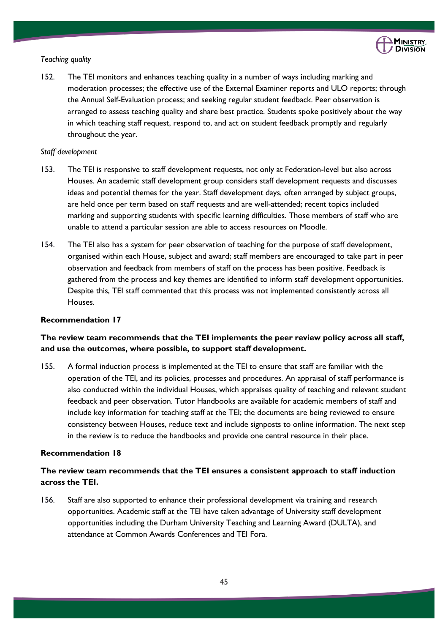

# *Teaching quality*

152. The TEI monitors and enhances teaching quality in a number of ways including marking and moderation processes; the effective use of the External Examiner reports and ULO reports; through the Annual Self-Evaluation process; and seeking regular student feedback. Peer observation is arranged to assess teaching quality and share best practice. Students spoke positively about the way in which teaching staff request, respond to, and act on student feedback promptly and regularly throughout the year.

# *Staff development*

- 153. The TEI is responsive to staff development requests, not only at Federation-level but also across Houses. An academic staff development group considers staff development requests and discusses ideas and potential themes for the year. Staff development days, often arranged by subject groups, are held once per term based on staff requests and are well-attended; recent topics included marking and supporting students with specific learning difficulties. Those members of staff who are unable to attend a particular session are able to access resources on Moodle.
- 154. The TEI also has a system for peer observation of teaching for the purpose of staff development, organised within each House, subject and award; staff members are encouraged to take part in peer observation and feedback from members of staff on the process has been positive. Feedback is gathered from the process and key themes are identified to inform staff development opportunities. Despite this, TEI staff commented that this process was not implemented consistently across all Houses.

# **Recommendation 17**

# **The review team recommends that the TEI implements the peer review policy across all staff, and use the outcomes, where possible, to support staff development.**

155. A formal induction process is implemented at the TEI to ensure that staff are familiar with the operation of the TEI, and its policies, processes and procedures. An appraisal of staff performance is also conducted within the individual Houses, which appraises quality of teaching and relevant student feedback and peer observation. Tutor Handbooks are available for academic members of staff and include key information for teaching staff at the TEI; the documents are being reviewed to ensure consistency between Houses, reduce text and include signposts to online information. The next step in the review is to reduce the handbooks and provide one central resource in their place.

# **Recommendation 18**

# **The review team recommends that the TEI ensures a consistent approach to staff induction across the TEI.**

156. Staff are also supported to enhance their professional development via training and research opportunities. Academic staff at the TEI have taken advantage of University staff development opportunities including the Durham University Teaching and Learning Award (DULTA), and attendance at Common Awards Conferences and TEI Fora.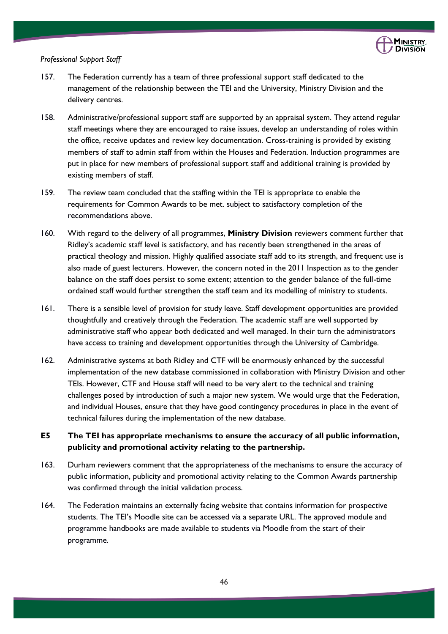

#### *Professional Support Staff*

- 157. The Federation currently has a team of three professional support staff dedicated to the management of the relationship between the TEI and the University, Ministry Division and the delivery centres.
- 158. Administrative/professional support staff are supported by an appraisal system. They attend regular staff meetings where they are encouraged to raise issues, develop an understanding of roles within the office, receive updates and review key documentation. Cross-training is provided by existing members of staff to admin staff from within the Houses and Federation. Induction programmes are put in place for new members of professional support staff and additional training is provided by existing members of staff.
- 159. The review team concluded that the staffing within the TEI is appropriate to enable the requirements for Common Awards to be met. subject to satisfactory completion of the recommendations above.
- 160. With regard to the delivery of all programmes, **Ministry Division** reviewers comment further that Ridley's academic staff level is satisfactory, and has recently been strengthened in the areas of practical theology and mission. Highly qualified associate staff add to its strength, and frequent use is also made of guest lecturers. However, the concern noted in the 2011 Inspection as to the gender balance on the staff does persist to some extent; attention to the gender balance of the full-time ordained staff would further strengthen the staff team and its modelling of ministry to students.
- 161. There is a sensible level of provision for study leave. Staff development opportunities are provided thoughtfully and creatively through the Federation. The academic staff are well supported by administrative staff who appear both dedicated and well managed. In their turn the administrators have access to training and development opportunities through the University of Cambridge.
- 162. Administrative systems at both Ridley and CTF will be enormously enhanced by the successful implementation of the new database commissioned in collaboration with Ministry Division and other TEIs. However, CTF and House staff will need to be very alert to the technical and training challenges posed by introduction of such a major new system. We would urge that the Federation, and individual Houses, ensure that they have good contingency procedures in place in the event of technical failures during the implementation of the new database.

# **E5 The TEI has appropriate mechanisms to ensure the accuracy of all public information, publicity and promotional activity relating to the partnership.**

- 163. Durham reviewers comment that the appropriateness of the mechanisms to ensure the accuracy of public information, publicity and promotional activity relating to the Common Awards partnership was confirmed through the initial validation process.
- 164. The Federation maintains an externally facing website that contains information for prospective students. The TEI's Moodle site can be accessed via a separate URL. The approved module and programme handbooks are made available to students via Moodle from the start of their programme.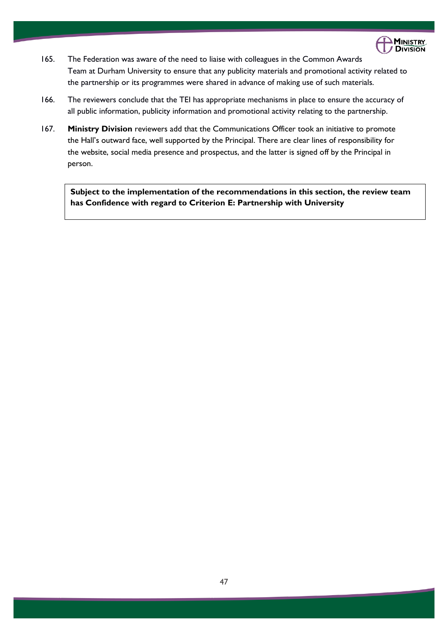

- 165. The Federation was aware of the need to liaise with colleagues in the Common Awards Team at Durham University to ensure that any publicity materials and promotional activity related to the partnership or its programmes were shared in advance of making use of such materials.
- 166. The reviewers conclude that the TEI has appropriate mechanisms in place to ensure the accuracy of all public information, publicity information and promotional activity relating to the partnership.
- 167. **Ministry Division** reviewers add that the Communications Officer took an initiative to promote the Hall's outward face, well supported by the Principal. There are clear lines of responsibility for the website, social media presence and prospectus, and the latter is signed off by the Principal in person.

**Subject to the implementation of the recommendations in this section, the review team has Confidence with regard to Criterion E: Partnership with University**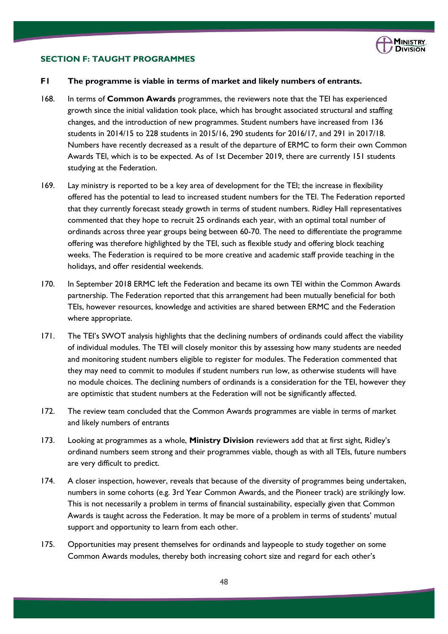

### **SECTION F: TAUGHT PROGRAMMES**

### **F1 The programme is viable in terms of market and likely numbers of entrants.**

- 168. In terms of **Common Awards** programmes, the reviewers note that the TEI has experienced growth since the initial validation took place, which has brought associated structural and staffing changes, and the introduction of new programmes. Student numbers have increased from 136 students in 2014/15 to 228 students in 2015/16, 290 students for 2016/17, and 291 in 2017/18. Numbers have recently decreased as a result of the departure of ERMC to form their own Common Awards TEI, which is to be expected. As of 1st December 2019, there are currently 151 students studying at the Federation.
- 169. Lay ministry is reported to be a key area of development for the TEI; the increase in flexibility offered has the potential to lead to increased student numbers for the TEI. The Federation reported that they currently forecast steady growth in terms of student numbers. Ridley Hall representatives commented that they hope to recruit 25 ordinands each year, with an optimal total number of ordinands across three year groups being between 60-70. The need to differentiate the programme offering was therefore highlighted by the TEI, such as flexible study and offering block teaching weeks. The Federation is required to be more creative and academic staff provide teaching in the holidays, and offer residential weekends.
- 170. In September 2018 ERMC left the Federation and became its own TEI within the Common Awards partnership. The Federation reported that this arrangement had been mutually beneficial for both TEIs, however resources, knowledge and activities are shared between ERMC and the Federation where appropriate.
- 171. The TEI's SWOT analysis highlights that the declining numbers of ordinands could affect the viability of individual modules. The TEI will closely monitor this by assessing how many students are needed and monitoring student numbers eligible to register for modules. The Federation commented that they may need to commit to modules if student numbers run low, as otherwise students will have no module choices. The declining numbers of ordinands is a consideration for the TEI, however they are optimistic that student numbers at the Federation will not be significantly affected.
- 172. The review team concluded that the Common Awards programmes are viable in terms of market and likely numbers of entrants
- 173. Looking at programmes as a whole, **Ministry Division** reviewers add that at first sight, Ridley's ordinand numbers seem strong and their programmes viable, though as with all TEIs, future numbers are very difficult to predict.
- 174. A closer inspection, however, reveals that because of the diversity of programmes being undertaken, numbers in some cohorts (e.g. 3rd Year Common Awards, and the Pioneer track) are strikingly low. This is not necessarily a problem in terms of financial sustainability, especially given that Common Awards is taught across the Federation. It may be more of a problem in terms of students' mutual support and opportunity to learn from each other.
- 175. Opportunities may present themselves for ordinands and laypeople to study together on some Common Awards modules, thereby both increasing cohort size and regard for each other's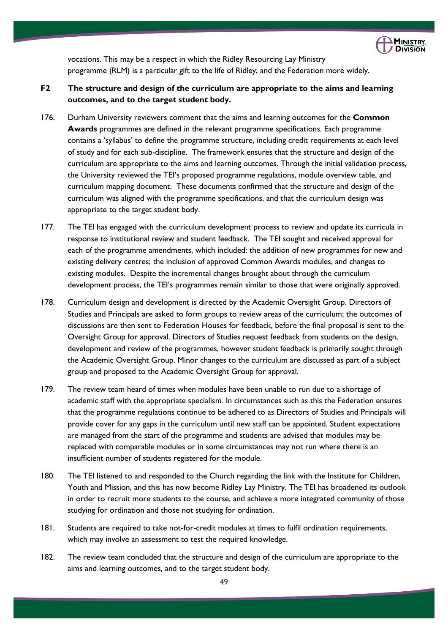

vocations. This may be a respect in which the Ridley Resourcing Lay Ministry programme (RLM) is a particular gift to the life of Ridley, and the Federation more widely.

# **F2 The structure and design of the curriculum are appropriate to the aims and learning outcomes, and to the target student body.**

- 176. Durham University reviewers comment that the aims and learning outcomes for the **Common Awards** programmes are defined in the relevant programme specifications. Each programme contains a 'syllabus' to define the programme structure, including credit requirements at each level of study and for each sub-discipline. The framework ensures that the structure and design of the curriculum are appropriate to the aims and learning outcomes. Through the initial validation process, the University reviewed the TEI's proposed programme regulations, module overview table, and curriculum mapping document. These documents confirmed that the structure and design of the curriculum was aligned with the programme specifications, and that the curriculum design was appropriate to the target student body.
- 177. The TEI has engaged with the curriculum development process to review and update its curricula in response to institutional review and student feedback. The TEI sought and received approval for each of the programme amendments, which included: the addition of new programmes for new and existing delivery centres; the inclusion of approved Common Awards modules, and changes to existing modules. Despite the incremental changes brought about through the curriculum development process, the TEI's programmes remain similar to those that were originally approved.
- 178. Curriculum design and development is directed by the Academic Oversight Group. Directors of Studies and Principals are asked to form groups to review areas of the curriculum; the outcomes of discussions are then sent to Federation Houses for feedback, before the final proposal is sent to the Oversight Group for approval. Directors of Studies request feedback from students on the design, development and review of the programmes, however student feedback is primarily sought through the Academic Oversight Group. Minor changes to the curriculum are discussed as part of a subject group and proposed to the Academic Oversight Group for approval.
- 179. The review team heard of times when modules have been unable to run due to a shortage of academic staff with the appropriate specialism. In circumstances such as this the Federation ensures that the programme regulations continue to be adhered to as Directors of Studies and Principals will provide cover for any gaps in the curriculum until new staff can be appointed. Student expectations are managed from the start of the programme and students are advised that modules may be replaced with comparable modules or in some circumstances may not run where there is an insufficient number of students registered for the module.
- 180. The TEI listened to and responded to the Church regarding the link with the Institute for Children, Youth and Mission, and this has now become Ridley Lay Ministry. The TEI has broadened its outlook in order to recruit more students to the course, and achieve a more integrated community of those studying for ordination and those not studying for ordination.
- 181. Students are required to take not-for-credit modules at times to fulfil ordination requirements, which may involve an assessment to test the required knowledge.
- 182. The review team concluded that the structure and design of the curriculum are appropriate to the aims and learning outcomes, and to the target student body.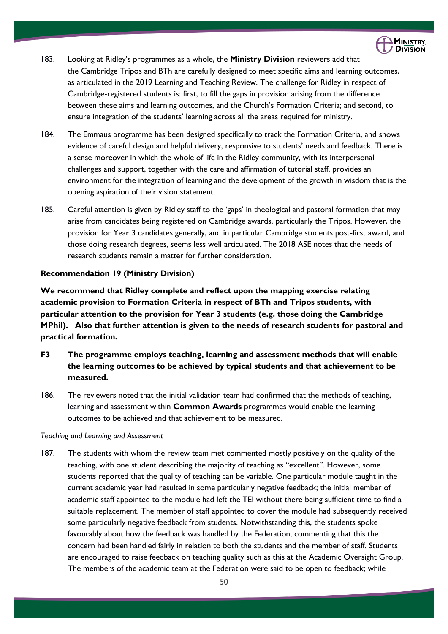

- 183. Looking at Ridley's programmes as a whole, the **Ministry Division** reviewers add that the Cambridge Tripos and BTh are carefully designed to meet specific aims and learning outcomes, as articulated in the 2019 Learning and Teaching Review. The challenge for Ridley in respect of Cambridge-registered students is: first, to fill the gaps in provision arising from the difference between these aims and learning outcomes, and the Church's Formation Criteria; and second, to ensure integration of the students' learning across all the areas required for ministry.
- 184. The Emmaus programme has been designed specifically to track the Formation Criteria, and shows evidence of careful design and helpful delivery, responsive to students' needs and feedback. There is a sense moreover in which the whole of life in the Ridley community, with its interpersonal challenges and support, together with the care and affirmation of tutorial staff, provides an environment for the integration of learning and the development of the growth in wisdom that is the opening aspiration of their vision statement.
- 185. Careful attention is given by Ridley staff to the 'gaps' in theological and pastoral formation that may arise from candidates being registered on Cambridge awards, particularly the Tripos. However, the provision for Year 3 candidates generally, and in particular Cambridge students post-first award, and those doing research degrees, seems less well articulated. The 2018 ASE notes that the needs of research students remain a matter for further consideration.

# **Recommendation 19 (Ministry Division)**

**We recommend that Ridley complete and reflect upon the mapping exercise relating academic provision to Formation Criteria in respect of BTh and Tripos students, with particular attention to the provision for Year 3 students (e.g. those doing the Cambridge MPhil). Also that further attention is given to the needs of research students for pastoral and practical formation.** 

- **F3 The programme employs teaching, learning and assessment methods that will enable the learning outcomes to be achieved by typical students and that achievement to be measured.**
- 186. The reviewers noted that the initial validation team had confirmed that the methods of teaching, learning and assessment within **Common Awards** programmes would enable the learning outcomes to be achieved and that achievement to be measured.

# *Teaching and Learning and Assessment*

187. The students with whom the review team met commented mostly positively on the quality of the teaching, with one student describing the majority of teaching as "excellent". However, some students reported that the quality of teaching can be variable. One particular module taught in the current academic year had resulted in some particularly negative feedback; the initial member of academic staff appointed to the module had left the TEI without there being sufficient time to find a suitable replacement. The member of staff appointed to cover the module had subsequently received some particularly negative feedback from students. Notwithstanding this, the students spoke favourably about how the feedback was handled by the Federation, commenting that this the concern had been handled fairly in relation to both the students and the member of staff. Students are encouraged to raise feedback on teaching quality such as this at the Academic Oversight Group. The members of the academic team at the Federation were said to be open to feedback; while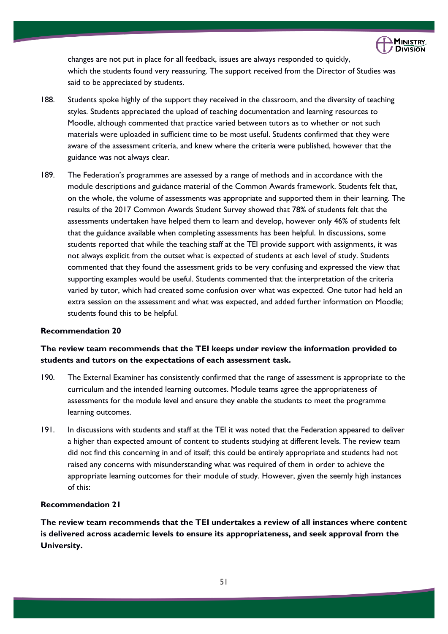

changes are not put in place for all feedback, issues are always responded to quickly, which the students found very reassuring. The support received from the Director of Studies was said to be appreciated by students.

- 188. Students spoke highly of the support they received in the classroom, and the diversity of teaching styles. Students appreciated the upload of teaching documentation and learning resources to Moodle, although commented that practice varied between tutors as to whether or not such materials were uploaded in sufficient time to be most useful. Students confirmed that they were aware of the assessment criteria, and knew where the criteria were published, however that the guidance was not always clear.
- 189. The Federation's programmes are assessed by a range of methods and in accordance with the module descriptions and guidance material of the Common Awards framework. Students felt that, on the whole, the volume of assessments was appropriate and supported them in their learning. The results of the 2017 Common Awards Student Survey showed that 78% of students felt that the assessments undertaken have helped them to learn and develop, however only 46% of students felt that the guidance available when completing assessments has been helpful. In discussions, some students reported that while the teaching staff at the TEI provide support with assignments, it was not always explicit from the outset what is expected of students at each level of study. Students commented that they found the assessment grids to be very confusing and expressed the view that supporting examples would be useful. Students commented that the interpretation of the criteria varied by tutor, which had created some confusion over what was expected. One tutor had held an extra session on the assessment and what was expected, and added further information on Moodle; students found this to be helpful.

#### **Recommendation 20**

# **The review team recommends that the TEI keeps under review the information provided to students and tutors on the expectations of each assessment task.**

- 190. The External Examiner has consistently confirmed that the range of assessment is appropriate to the curriculum and the intended learning outcomes. Module teams agree the appropriateness of assessments for the module level and ensure they enable the students to meet the programme learning outcomes.
- 191. In discussions with students and staff at the TEI it was noted that the Federation appeared to deliver a higher than expected amount of content to students studying at different levels. The review team did not find this concerning in and of itself; this could be entirely appropriate and students had not raised any concerns with misunderstanding what was required of them in order to achieve the appropriate learning outcomes for their module of study. However, given the seemly high instances of this:

#### **Recommendation 21**

**The review team recommends that the TEI undertakes a review of all instances where content is delivered across academic levels to ensure its appropriateness, and seek approval from the University.**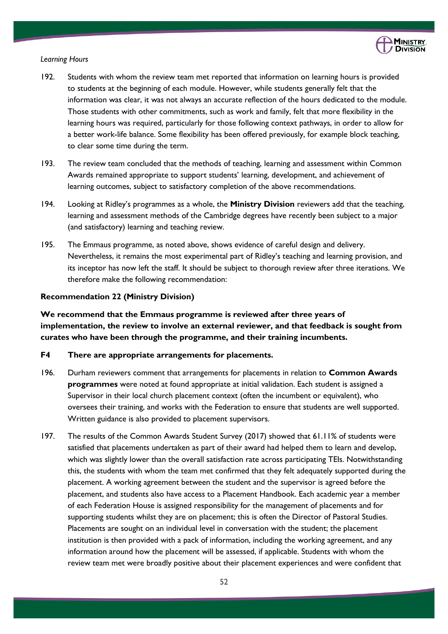

#### *Learning Hours*

- 192. Students with whom the review team met reported that information on learning hours is provided to students at the beginning of each module. However, while students generally felt that the information was clear, it was not always an accurate reflection of the hours dedicated to the module. Those students with other commitments, such as work and family, felt that more flexibility in the learning hours was required, particularly for those following context pathways, in order to allow for a better work-life balance. Some flexibility has been offered previously, for example block teaching, to clear some time during the term.
- 193. The review team concluded that the methods of teaching, learning and assessment within Common Awards remained appropriate to support students' learning, development, and achievement of learning outcomes, subject to satisfactory completion of the above recommendations.
- 194. Looking at Ridley's programmes as a whole, the **Ministry Division** reviewers add that the teaching, learning and assessment methods of the Cambridge degrees have recently been subject to a major (and satisfactory) learning and teaching review.
- 195. The Emmaus programme, as noted above, shows evidence of careful design and delivery. Nevertheless, it remains the most experimental part of Ridley's teaching and learning provision, and its inceptor has now left the staff. It should be subject to thorough review after three iterations. We therefore make the following recommendation:

# **Recommendation 22 (Ministry Division)**

**We recommend that the Emmaus programme is reviewed after three years of implementation, the review to involve an external reviewer, and that feedback is sought from curates who have been through the programme, and their training incumbents.**

#### **F4 There are appropriate arrangements for placements.**

- 196. Durham reviewers comment that arrangements for placements in relation to **Common Awards programmes** were noted at found appropriate at initial validation. Each student is assigned a Supervisor in their local church placement context (often the incumbent or equivalent), who oversees their training, and works with the Federation to ensure that students are well supported. Written guidance is also provided to placement supervisors.
- 197. The results of the Common Awards Student Survey (2017) showed that 61.11% of students were satisfied that placements undertaken as part of their award had helped them to learn and develop, which was slightly lower than the overall satisfaction rate across participating TEIs. Notwithstanding this, the students with whom the team met confirmed that they felt adequately supported during the placement. A working agreement between the student and the supervisor is agreed before the placement, and students also have access to a Placement Handbook. Each academic year a member of each Federation House is assigned responsibility for the management of placements and for supporting students whilst they are on placement; this is often the Director of Pastoral Studies. Placements are sought on an individual level in conversation with the student; the placement institution is then provided with a pack of information, including the working agreement, and any information around how the placement will be assessed, if applicable. Students with whom the review team met were broadly positive about their placement experiences and were confident that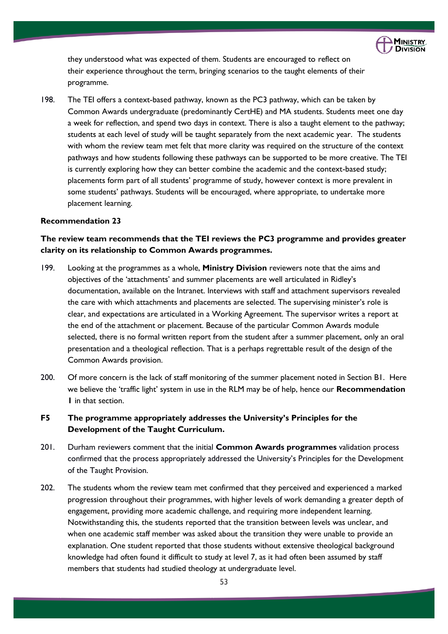

they understood what was expected of them. Students are encouraged to reflect on their experience throughout the term, bringing scenarios to the taught elements of their programme.

198. The TEI offers a context-based pathway, known as the PC3 pathway, which can be taken by Common Awards undergraduate (predominantly CertHE) and MA students. Students meet one day a week for reflection, and spend two days in context. There is also a taught element to the pathway; students at each level of study will be taught separately from the next academic year. The students with whom the review team met felt that more clarity was required on the structure of the context pathways and how students following these pathways can be supported to be more creative. The TEI is currently exploring how they can better combine the academic and the context-based study; placements form part of all students' programme of study, however context is more prevalent in some students' pathways. Students will be encouraged, where appropriate, to undertake more placement learning.

# **Recommendation 23**

# **The review team recommends that the TEI reviews the PC3 programme and provides greater clarity on its relationship to Common Awards programmes.**

- 199. Looking at the programmes as a whole, **Ministry Division** reviewers note that the aims and objectives of the 'attachments' and summer placements are well articulated in Ridley's documentation, available on the Intranet. Interviews with staff and attachment supervisors revealed the care with which attachments and placements are selected. The supervising minister's role is clear, and expectations are articulated in a Working Agreement. The supervisor writes a report at the end of the attachment or placement. Because of the particular Common Awards module selected, there is no formal written report from the student after a summer placement, only an oral presentation and a theological reflection. That is a perhaps regrettable result of the design of the Common Awards provision.
- 200. Of more concern is the lack of staff monitoring of the summer placement noted in Section B1. Here we believe the 'traffic light' system in use in the RLM may be of help, hence our **Recommendation 1** in that section.

# **F5 The programme appropriately addresses the University's Principles for the Development of the Taught Curriculum.**

- 201. Durham reviewers comment that the initial **Common Awards programmes** validation process confirmed that the process appropriately addressed the University's Principles for the Development of the Taught Provision.
- 202. The students whom the review team met confirmed that they perceived and experienced a marked progression throughout their programmes, with higher levels of work demanding a greater depth of engagement, providing more academic challenge, and requiring more independent learning. Notwithstanding this, the students reported that the transition between levels was unclear, and when one academic staff member was asked about the transition they were unable to provide an explanation. One student reported that those students without extensive theological background knowledge had often found it difficult to study at level 7, as it had often been assumed by staff members that students had studied theology at undergraduate level.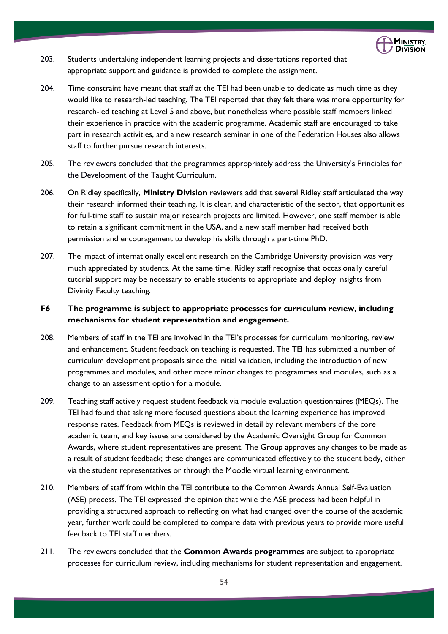

- 203. Students undertaking independent learning projects and dissertations reported that appropriate support and guidance is provided to complete the assignment.
- 204. Time constraint have meant that staff at the TEI had been unable to dedicate as much time as they would like to research-led teaching. The TEI reported that they felt there was more opportunity for research-led teaching at Level 5 and above, but nonetheless where possible staff members linked their experience in practice with the academic programme. Academic staff are encouraged to take part in research activities, and a new research seminar in one of the Federation Houses also allows staff to further pursue research interests.
- 205. The reviewers concluded that the programmes appropriately address the University's Principles for the Development of the Taught Curriculum.
- 206. On Ridley specifically, **Ministry Division** reviewers add that several Ridley staff articulated the way their research informed their teaching. It is clear, and characteristic of the sector, that opportunities for full-time staff to sustain major research projects are limited. However, one staff member is able to retain a significant commitment in the USA, and a new staff member had received both permission and encouragement to develop his skills through a part-time PhD.
- 207. The impact of internationally excellent research on the Cambridge University provision was very much appreciated by students. At the same time, Ridley staff recognise that occasionally careful tutorial support may be necessary to enable students to appropriate and deploy insights from Divinity Faculty teaching.

# **F6 The programme is subject to appropriate processes for curriculum review, including mechanisms for student representation and engagement.**

- 208. Members of staff in the TEI are involved in the TEI's processes for curriculum monitoring, review and enhancement. Student feedback on teaching is requested. The TEI has submitted a number of curriculum development proposals since the initial validation, including the introduction of new programmes and modules, and other more minor changes to programmes and modules, such as a change to an assessment option for a module.
- 209. Teaching staff actively request student feedback via module evaluation questionnaires (MEQs). The TEI had found that asking more focused questions about the learning experience has improved response rates. Feedback from MEQs is reviewed in detail by relevant members of the core academic team, and key issues are considered by the Academic Oversight Group for Common Awards, where student representatives are present. The Group approves any changes to be made as a result of student feedback; these changes are communicated effectively to the student body, either via the student representatives or through the Moodle virtual learning environment.
- 210. Members of staff from within the TEI contribute to the Common Awards Annual Self-Evaluation (ASE) process. The TEI expressed the opinion that while the ASE process had been helpful in providing a structured approach to reflecting on what had changed over the course of the academic year, further work could be completed to compare data with previous years to provide more useful feedback to TEI staff members.
- 211. The reviewers concluded that the **Common Awards programmes** are subject to appropriate processes for curriculum review, including mechanisms for student representation and engagement.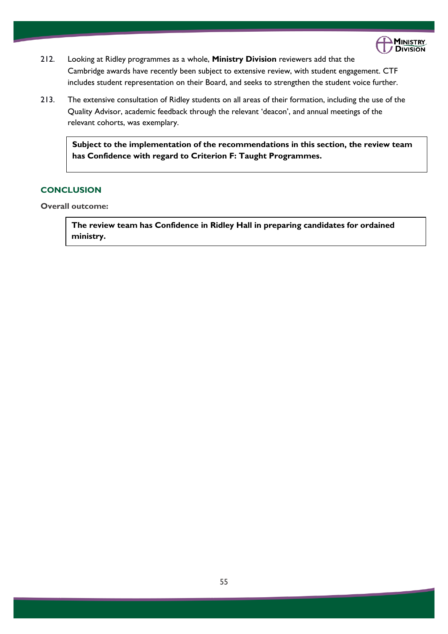

- 212. Looking at Ridley programmes as a whole, **Ministry Division** reviewers add that the Cambridge awards have recently been subject to extensive review, with student engagement. CTF includes student representation on their Board, and seeks to strengthen the student voice further.
- 213. The extensive consultation of Ridley students on all areas of their formation, including the use of the Quality Advisor, academic feedback through the relevant 'deacon', and annual meetings of the relevant cohorts, was exemplary.

**Subject to the implementation of the recommendations in this section, the review team has Confidence with regard to Criterion F: Taught Programmes.**

# **CONCLUSION**

**Overall outcome:** 

**The review team has Confidence in Ridley Hall in preparing candidates for ordained ministry.**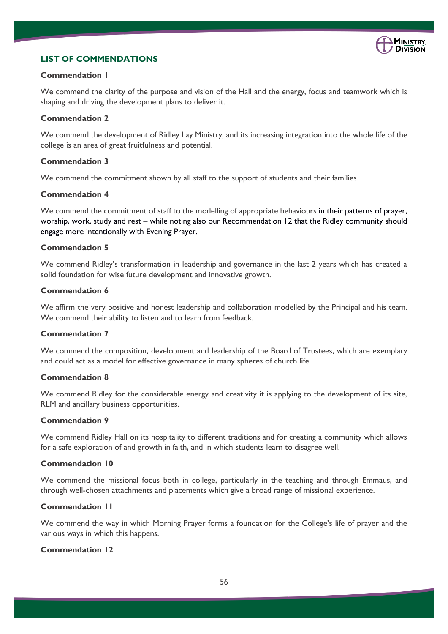

# **LIST OF COMMENDATIONS**

### **Commendation 1**

We commend the clarity of the purpose and vision of the Hall and the energy, focus and teamwork which is shaping and driving the development plans to deliver it.

### **Commendation 2**

We commend the development of Ridley Lay Ministry, and its increasing integration into the whole life of the college is an area of great fruitfulness and potential.

### **Commendation 3**

We commend the commitment shown by all staff to the support of students and their families

# **Commendation 4**

We commend the commitment of staff to the modelling of appropriate behaviours in their patterns of prayer, worship, work, study and rest – while noting also our Recommendation 12 that the Ridley community should engage more intentionally with Evening Prayer.

#### **Commendation 5**

We commend Ridley's transformation in leadership and governance in the last 2 years which has created a solid foundation for wise future development and innovative growth.

#### **Commendation 6**

We affirm the very positive and honest leadership and collaboration modelled by the Principal and his team. We commend their ability to listen and to learn from feedback.

#### **Commendation 7**

We commend the composition, development and leadership of the Board of Trustees, which are exemplary and could act as a model for effective governance in many spheres of church life.

# **Commendation 8**

We commend Ridley for the considerable energy and creativity it is applying to the development of its site, RLM and ancillary business opportunities.

# **Commendation 9**

We commend Ridley Hall on its hospitality to different traditions and for creating a community which allows for a safe exploration of and growth in faith, and in which students learn to disagree well.

### **Commendation 10**

We commend the missional focus both in college, particularly in the teaching and through Emmaus, and through well-chosen attachments and placements which give a broad range of missional experience.

# **Commendation 11**

We commend the way in which Morning Prayer forms a foundation for the College's life of prayer and the various ways in which this happens.

# **Commendation 12**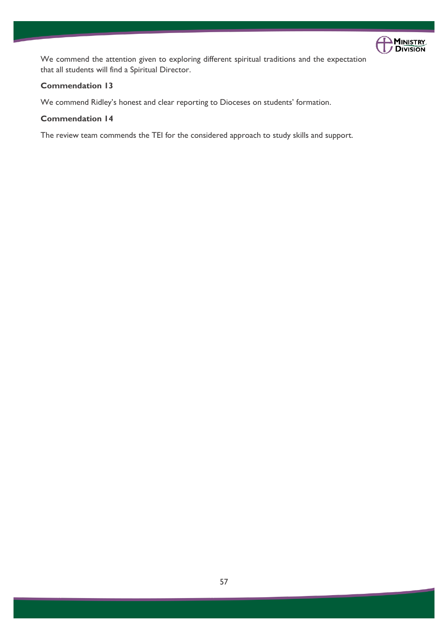

We commend the attention given to exploring different spiritual traditions and the expectation that all students will find a Spiritual Director.

# **Commendation 13**

We commend Ridley's honest and clear reporting to Dioceses on students' formation.

# **Commendation 14**

The review team commends the TEI for the considered approach to study skills and support.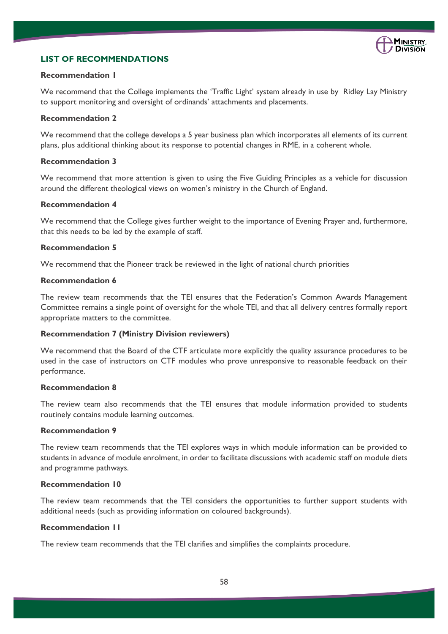

# **LIST OF RECOMMENDATIONS**

#### **Recommendation 1**

We recommend that the College implements the 'Traffic Light' system already in use by Ridley Lay Ministry to support monitoring and oversight of ordinands' attachments and placements.

#### **Recommendation 2**

We recommend that the college develops a 5 year business plan which incorporates all elements of its current plans, plus additional thinking about its response to potential changes in RME, in a coherent whole.

### **Recommendation 3**

We recommend that more attention is given to using the Five Guiding Principles as a vehicle for discussion around the different theological views on women's ministry in the Church of England.

#### **Recommendation 4**

We recommend that the College gives further weight to the importance of Evening Prayer and, furthermore, that this needs to be led by the example of staff.

#### **Recommendation 5**

We recommend that the Pioneer track be reviewed in the light of national church priorities

#### **Recommendation 6**

The review team recommends that the TEI ensures that the Federation's Common Awards Management Committee remains a single point of oversight for the whole TEI, and that all delivery centres formally report appropriate matters to the committee.

# **Recommendation 7 (Ministry Division reviewers)**

We recommend that the Board of the CTF articulate more explicitly the quality assurance procedures to be used in the case of instructors on CTF modules who prove unresponsive to reasonable feedback on their performance.

#### **Recommendation 8**

The review team also recommends that the TEI ensures that module information provided to students routinely contains module learning outcomes.

#### **Recommendation 9**

The review team recommends that the TEI explores ways in which module information can be provided to students in advance of module enrolment, in order to facilitate discussions with academic staff on module diets and programme pathways.

#### **Recommendation 10**

The review team recommends that the TEI considers the opportunities to further support students with additional needs (such as providing information on coloured backgrounds).

### **Recommendation 11**

The review team recommends that the TEI clarifies and simplifies the complaints procedure.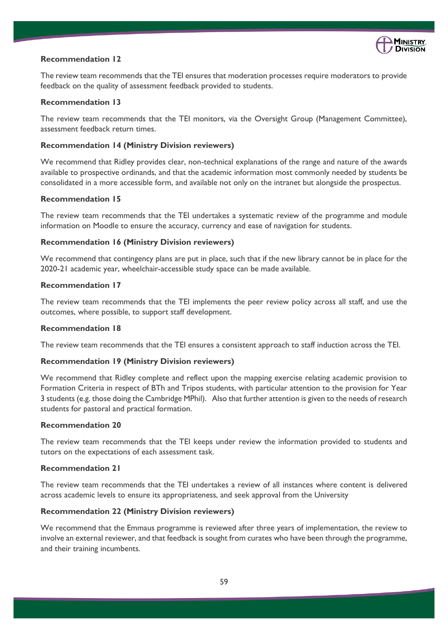

### **Recommendation 12**

The review team recommends that the TEI ensures that moderation processes require moderators to provide feedback on the quality of assessment feedback provided to students.

#### **Recommendation 13**

The review team recommends that the TEI monitors, via the Oversight Group (Management Committee), assessment feedback return times.

#### **Recommendation 14 (Ministry Division reviewers)**

We recommend that Ridley provides clear, non-technical explanations of the range and nature of the awards available to prospective ordinands, and that the academic information most commonly needed by students be consolidated in a more accessible form, and available not only on the intranet but alongside the prospectus.

#### **Recommendation 15**

The review team recommends that the TEI undertakes a systematic review of the programme and module information on Moodle to ensure the accuracy, currency and ease of navigation for students.

#### **Recommendation 16 (Ministry Division reviewers)**

We recommend that contingency plans are put in place, such that if the new library cannot be in place for the 2020-21 academic year, wheelchair-accessible study space can be made available.

#### **Recommendation 17**

The review team recommends that the TEI implements the peer review policy across all staff, and use the outcomes, where possible, to support staff development.

#### **Recommendation 18**

The review team recommends that the TEI ensures a consistent approach to staff induction across the TEI.

#### **Recommendation 19 (Ministry Division reviewers)**

We recommend that Ridley complete and reflect upon the mapping exercise relating academic provision to Formation Criteria in respect of BTh and Tripos students, with particular attention to the provision for Year 3 students (e.g. those doing the Cambridge MPhil). Also that further attention is given to the needs of research students for pastoral and practical formation.

#### **Recommendation 20**

The review team recommends that the TEI keeps under review the information provided to students and tutors on the expectations of each assessment task.

# **Recommendation 21**

The review team recommends that the TEI undertakes a review of all instances where content is delivered across academic levels to ensure its appropriateness, and seek approval from the University

# **Recommendation 22 (Ministry Division reviewers)**

We recommend that the Emmaus programme is reviewed after three years of implementation, the review to involve an external reviewer, and that feedback is sought from curates who have been through the programme, and their training incumbents.